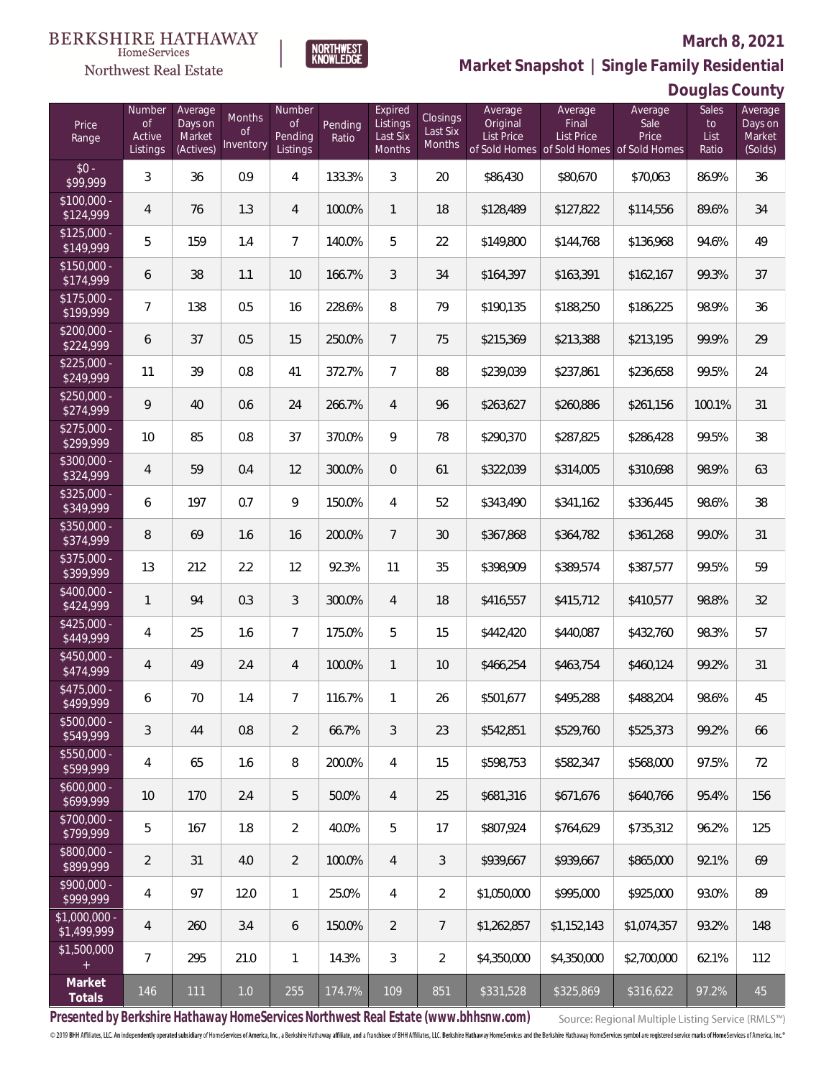

**NORTHWEST**<br>KNOWLEDGE

Northwest Real Estate

**Market Snapshot | Single Family Residential**

## **Douglas County**

| Price<br>Range                | Number<br><b>of</b><br>Active<br>Listings | Average<br>Days on<br>Market<br>(Actives) | Months<br>Οf<br>Inventory | Number<br><b>of</b><br>Pending<br>Listings | Pending<br>Ratio | Expired<br>Listings<br>Last Six<br>Months | Closings<br>Last Six<br>Months | Average<br>Original<br><b>List Price</b> | Average<br>Final<br>List Price<br>of Sold Homes of Sold Homes of Sold Homes | Average<br>Sale<br>Price | Sales<br>to<br>List<br>Ratio | Average<br>Days on<br>Market<br>(Solds) |
|-------------------------------|-------------------------------------------|-------------------------------------------|---------------------------|--------------------------------------------|------------------|-------------------------------------------|--------------------------------|------------------------------------------|-----------------------------------------------------------------------------|--------------------------|------------------------------|-----------------------------------------|
| $$0 -$<br>\$99,999            | 3                                         | 36                                        | 0.9                       | 4                                          | 133.3%           | 3                                         | 20                             | \$86,430                                 | \$80,670                                                                    | \$70,063                 | 86.9%                        | 36                                      |
| $$100,000 -$<br>\$124,999     | $\overline{4}$                            | 76                                        | 1.3                       | 4                                          | 100.0%           | $\mathbf{1}$                              | 18                             | \$128,489                                | \$127,822                                                                   | \$114,556                | 89.6%                        | 34                                      |
| $$125,000 -$<br>\$149,999     | 5                                         | 159                                       | 1.4                       | $\overline{7}$                             | 140.0%           | 5                                         | 22                             | \$149,800                                | \$144,768                                                                   | \$136,968                | 94.6%                        | 49                                      |
| $$150,000 -$<br>\$174,999     | 6                                         | 38                                        | 1.1                       | 10                                         | 166.7%           | 3                                         | 34                             | \$164,397                                | \$163,391                                                                   | \$162,167                | 99.3%                        | 37                                      |
| $$175,000 -$<br>\$199,999     | $\overline{7}$                            | 138                                       | 0.5                       | 16                                         | 228.6%           | 8                                         | 79                             | \$190,135                                | \$188,250                                                                   | \$186,225                | 98.9%                        | 36                                      |
| $$200,000 -$<br>\$224,999     | 6                                         | 37                                        | 0.5                       | 15                                         | 250.0%           | $7\overline{ }$                           | 75                             | \$215,369                                | \$213,388                                                                   | \$213,195                | 99.9%                        | 29                                      |
| $$225,000 -$<br>\$249,999     | 11                                        | 39                                        | 0.8                       | 41                                         | 372.7%           | $7\overline{ }$                           | 88                             | \$239,039                                | \$237,861                                                                   | \$236,658                | 99.5%                        | 24                                      |
| $$250,000 -$<br>\$274,999     | 9                                         | 40                                        | 0.6                       | 24                                         | 266.7%           | $\overline{4}$                            | 96                             | \$263,627                                | \$260,886                                                                   | \$261,156                | 100.1%                       | 31                                      |
| $$275,000 -$<br>\$299,999     | 10                                        | 85                                        | 0.8                       | 37                                         | 370.0%           | 9                                         | 78                             | \$290,370                                | \$287,825                                                                   | \$286,428                | 99.5%                        | 38                                      |
| $$300,000 -$<br>\$324,999     | $\overline{4}$                            | 59                                        | 0.4                       | 12                                         | 300.0%           | $\overline{0}$                            | 61                             | \$322,039                                | \$314,005                                                                   | \$310,698                | 98.9%                        | 63                                      |
| $$325,000 -$<br>\$349,999     | 6                                         | 197                                       | 0.7                       | 9                                          | 150.0%           | $\overline{4}$                            | 52                             | \$343,490                                | \$341,162                                                                   | \$336,445                | 98.6%                        | 38                                      |
| $$350,000 -$<br>\$374,999     | 8                                         | 69                                        | 1.6                       | 16                                         | 200.0%           | $7\overline{ }$                           | 30                             | \$367,868                                | \$364,782                                                                   | \$361,268                | 99.0%                        | 31                                      |
| $$375,000 -$<br>\$399,999     | 13                                        | 212                                       | 2.2                       | 12                                         | 92.3%            | 11                                        | 35                             | \$398,909                                | \$389,574                                                                   | \$387,577                | 99.5%                        | 59                                      |
| $$400,000 -$<br>\$424,999     | $\mathbf{1}$                              | 94                                        | 0.3                       | 3                                          | 300.0%           | $\overline{4}$                            | 18                             | \$416,557                                | \$415,712                                                                   | \$410,577                | 98.8%                        | 32                                      |
| $$425,000 -$<br>\$449,999     | 4                                         | 25                                        | 1.6                       | $\overline{7}$                             | 175.0%           | 5                                         | 15                             | \$442,420                                | \$440,087                                                                   | \$432,760                | 98.3%                        | 57                                      |
| $$450,000 -$<br>\$474,999     | $\overline{4}$                            | 49                                        | 2.4                       | $\overline{4}$                             | 100.0%           | $\mathbf{1}$                              | 10                             | \$466,254                                | \$463,754                                                                   | \$460,124                | 99.2%                        | 31                                      |
| $$475,000 -$<br>\$499,999     | 6                                         | 70                                        | 1.4                       | $\overline{7}$                             | 116.7%           | $\mathbf{1}$                              | 26                             | \$501,677                                | \$495,288                                                                   | \$488,204                | 98.6%                        | 45                                      |
| \$500,000 -<br>\$549,999      | $\mathfrak{Z}$                            | 44                                        | 0.8                       | 2                                          | 66.7%            | 3                                         | 23                             | \$542,851                                | \$529,760                                                                   | \$525,373                | 99.2%                        | 66                                      |
| $$550,000 -$<br>\$599,999     | 4                                         | 65                                        | 1.6                       | 8                                          | 200.0%           | 4                                         | 15                             | \$598,753                                | \$582,347                                                                   | \$568,000                | 97.5%                        | 72                                      |
| $$600,000 -$<br>\$699,999     | 10                                        | 170                                       | 2.4                       | 5                                          | 50.0%            | $\overline{4}$                            | 25                             | \$681,316                                | \$671,676                                                                   | \$640,766                | 95.4%                        | 156                                     |
| \$700,000 -<br>\$799,999      | 5                                         | 167                                       | 1.8                       | $\overline{2}$                             | 40.0%            | 5                                         | 17                             | \$807,924                                | \$764,629                                                                   | \$735,312                | 96.2%                        | 125                                     |
| \$800,000 -<br>\$899,999      | $\overline{2}$                            | 31                                        | 4.0                       | $\overline{2}$                             | 100.0%           | $\overline{4}$                            | $\mathfrak{Z}$                 | \$939,667                                | \$939,667                                                                   | \$865,000                | 92.1%                        | 69                                      |
| $$900,000 -$<br>\$999,999     | 4                                         | 97                                        | 12.0                      | $\mathbf{1}$                               | 25.0%            | $\overline{4}$                            | $\overline{2}$                 | \$1,050,000                              | \$995,000                                                                   | \$925,000                | 93.0%                        | 89                                      |
| $$1,000,000 -$<br>\$1,499,999 | 4                                         | 260                                       | 3.4                       | 6                                          | 150.0%           | $\overline{2}$                            | $\overline{7}$                 | \$1,262,857                              | \$1,152,143                                                                 | \$1,074,357              | 93.2%                        | 148                                     |
| \$1,500,000<br>$+$            | $\overline{7}$                            | 295                                       | 21.0                      | $\mathbf{1}$                               | 14.3%            | $\mathfrak{Z}$                            | $\overline{2}$                 | \$4,350,000                              | \$4,350,000                                                                 | \$2,700,000              | 62.1%                        | 112                                     |
| Market<br>Totals              | 146                                       | 111                                       | $1.0\,$                   | 255                                        | 174.7%           | 109                                       | 851                            | \$331,528                                | \$325,869                                                                   | \$316,622                | 97.2%                        | 45                                      |

**Presented by Berkshire Hathaway HomeServices Northwest Real Estate (www.bhhsnw.com)**

Source: Regional Multiple Listing Service (RMLS™)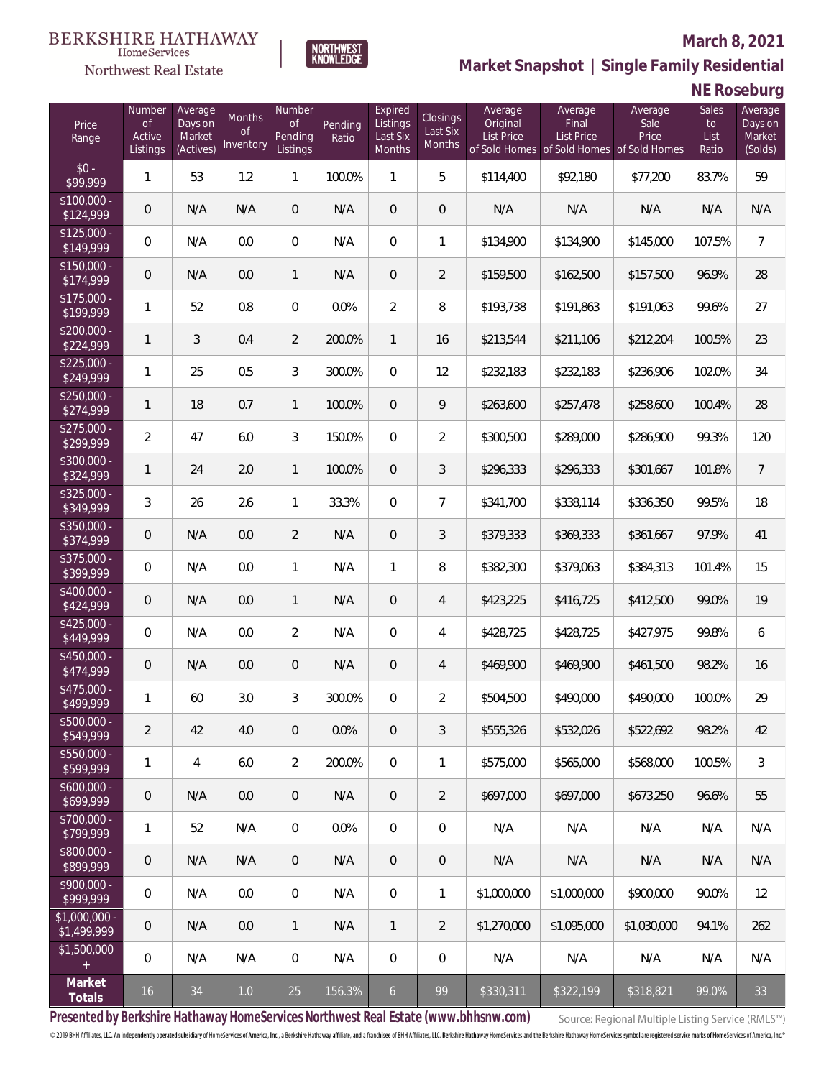

Northwest Real Estate

**Market Snapshot | Single Family Residential**

# **NE Roseburg**

| Price<br>Range                | Number<br>of<br>Active<br>Listings | Average<br>Days on<br>Market<br>(Actives) | Months<br>Οf<br>Inventory | Number<br><b>of</b><br>Pending<br>Listings | Pending<br>Ratio | Expired<br>Listings<br>Last Six<br>Months | Closings<br>Last Six<br>Months | Average<br>Original<br><b>List Price</b> | Average<br>Final<br>List Price<br>of Sold Homes of Sold Homes of Sold Homes | Average<br>Sale<br>Price | Sales<br>to<br>List<br>Ratio | Average<br>Days on<br>Market<br>(Solds) |
|-------------------------------|------------------------------------|-------------------------------------------|---------------------------|--------------------------------------------|------------------|-------------------------------------------|--------------------------------|------------------------------------------|-----------------------------------------------------------------------------|--------------------------|------------------------------|-----------------------------------------|
| $$0 -$<br>\$99,999            | 1                                  | 53                                        | 1.2                       | 1                                          | 100.0%           | $\mathbf{1}$                              | 5                              | \$114,400                                | \$92,180                                                                    | \$77,200                 | 83.7%                        | 59                                      |
| $$100,000 -$<br>\$124,999     | 0                                  | N/A                                       | N/A                       | $\overline{0}$                             | N/A              | $\overline{0}$                            | $\overline{0}$                 | N/A                                      | N/A                                                                         | N/A                      | N/A                          | N/A                                     |
| $$125,000 -$<br>\$149,999     | 0                                  | N/A                                       | 0.0                       | $\overline{0}$                             | N/A              | $\overline{0}$                            | $\mathbf{1}$                   | \$134,900                                | \$134,900                                                                   | \$145,000                | 107.5%                       | $\overline{7}$                          |
| $$150,000 -$<br>\$174,999     | 0                                  | N/A                                       | 0.0                       | $\mathbf{1}$                               | N/A              | $\overline{0}$                            | $\overline{2}$                 | \$159,500                                | \$162,500                                                                   | \$157,500                | 96.9%                        | 28                                      |
| $$175,000 -$<br>\$199,999     | 1                                  | 52                                        | 0.8                       | $\overline{0}$                             | 0.0%             | $\overline{2}$                            | 8                              | \$193,738                                | \$191,863                                                                   | \$191,063                | 99.6%                        | 27                                      |
| $$200,000 -$<br>\$224,999     | 1                                  | 3                                         | 0.4                       | $\overline{2}$                             | 200.0%           | $\mathbf{1}$                              | 16                             | \$213,544                                | \$211,106                                                                   | \$212,204                | 100.5%                       | 23                                      |
| $$225,000 -$<br>\$249,999     | 1                                  | 25                                        | 0.5                       | 3                                          | 300.0%           | $\overline{0}$                            | 12                             | \$232,183                                | \$232,183                                                                   | \$236,906                | 102.0%                       | 34                                      |
| $$250,000 -$<br>\$274,999     | 1                                  | 18                                        | 0.7                       | $\mathbf{1}$                               | 100.0%           | $\overline{0}$                            | 9                              | \$263,600                                | \$257,478                                                                   | \$258,600                | 100.4%                       | 28                                      |
| $$275,000 -$<br>\$299,999     | 2                                  | 47                                        | 6.0                       | 3                                          | 150.0%           | $\overline{0}$                            | $\overline{2}$                 | \$300,500                                | \$289,000                                                                   | \$286,900                | 99.3%                        | 120                                     |
| $$300,000 -$<br>\$324,999     | 1                                  | 24                                        | 2.0                       | $\mathbf{1}$                               | 100.0%           | $\overline{0}$                            | 3                              | \$296,333                                | \$296,333                                                                   | \$301,667                | 101.8%                       | $\overline{7}$                          |
| $$325,000 -$<br>\$349,999     | 3                                  | 26                                        | 2.6                       | $\mathbf{1}$                               | 33.3%            | $\overline{0}$                            | $\overline{7}$                 | \$341,700                                | \$338,114                                                                   | \$336,350                | 99.5%                        | 18                                      |
| $$350,000 -$<br>\$374,999     | 0                                  | N/A                                       | 0.0                       | $\overline{2}$                             | N/A              | $\overline{0}$                            | 3                              | \$379,333                                | \$369,333                                                                   | \$361,667                | 97.9%                        | 41                                      |
| \$375,000 -<br>\$399,999      | $\boldsymbol{0}$                   | N/A                                       | 0.0                       | $\mathbf{1}$                               | N/A              | $\mathbf{1}$                              | 8                              | \$382,300                                | \$379,063                                                                   | \$384,313                | 101.4%                       | 15                                      |
| \$400,000 -<br>\$424,999      | 0                                  | N/A                                       | 0.0                       | $\mathbf{1}$                               | N/A              | $\overline{0}$                            | $\overline{4}$                 | \$423,225                                | \$416,725                                                                   | \$412,500                | 99.0%                        | 19                                      |
| $$425,000 -$<br>\$449,999     | 0                                  | N/A                                       | 0.0                       | $\overline{2}$                             | N/A              | $\overline{0}$                            | $\overline{4}$                 | \$428,725                                | \$428,725                                                                   | \$427,975                | 99.8%                        | 6                                       |
| $$450,000 -$<br>\$474,999     | 0                                  | N/A                                       | 0.0                       | $\overline{0}$                             | N/A              | $\overline{0}$                            | $\overline{4}$                 | \$469,900                                | \$469,900                                                                   | \$461,500                | 98.2%                        | 16                                      |
| $$475,000 -$<br>\$499,999     | 1                                  | 60                                        | 3.0                       | 3                                          | 300.0%           | $\overline{0}$                            | $\overline{2}$                 | \$504,500                                | \$490,000                                                                   | \$490,000                | 100.0%                       | 29                                      |
| $$500,000 -$<br>\$549,999     | $\overline{2}$                     | 42                                        | 4.0                       | $\overline{0}$                             | 0.0%             | $\overline{0}$                            | 3                              | \$555,326                                | \$532,026                                                                   | \$522,692                | 98.2%                        | 42                                      |
| $$550,000 -$<br>\$599,999     | 1                                  | $\overline{4}$                            | 6.0                       | $\overline{2}$                             | 200.0%           | $\overline{0}$                            | 1                              | \$575,000                                | \$565,000                                                                   | \$568,000                | 100.5%                       | $\mathfrak{Z}$                          |
| $$600,000 -$<br>\$699,999     | $\mathbf 0$                        | N/A                                       | 0.0                       | $\overline{0}$                             | N/A              | $\overline{0}$                            | $\overline{2}$                 | \$697.000                                | \$697,000                                                                   | \$673,250                | 96.6%                        | 55                                      |
| $$700,000 -$<br>\$799,999     | 1                                  | 52                                        | N/A                       | $\overline{0}$                             | 0.0%             | $\overline{0}$                            | $\mathbf 0$                    | N/A                                      | N/A                                                                         | N/A                      | N/A                          | N/A                                     |
| \$800,000 -<br>\$899,999      | $\mathbf 0$                        | N/A                                       | N/A                       | $\overline{0}$                             | N/A              | $\overline{0}$                            | $\mathbf 0$                    | N/A                                      | N/A                                                                         | N/A                      | N/A                          | N/A                                     |
| $$900,000 -$<br>\$999,999     | 0                                  | N/A                                       | 0.0                       | $\mathbf 0$                                | N/A              | $\boldsymbol{0}$                          | $\mathbf{1}$                   | \$1,000,000                              | \$1,000,000                                                                 | \$900,000                | 90.0%                        | 12                                      |
| $$1,000,000 -$<br>\$1,499,999 | $\theta$                           | N/A                                       | 0.0                       | $\mathbf{1}$                               | N/A              | $\mathbf{1}$                              | $\overline{2}$                 | \$1,270,000                              | \$1,095,000                                                                 | \$1,030,000              | 94.1%                        | 262                                     |
| \$1,500,000<br>$+$            | 0                                  | N/A                                       | N/A                       | $\overline{0}$                             | N/A              | 0                                         | $\mathbf 0$                    | N/A                                      | N/A                                                                         | N/A                      | N/A                          | N/A                                     |
| Market<br>Totals              | 16                                 | 34                                        | $1.0\,$                   | 25                                         | 156.3%           | 6 <sub>o</sub>                            | 99                             | \$330,311                                | \$322,199                                                                   | \$318,821                | 99.0%                        | 33                                      |

**NORTHWEST**<br>KNOWLEDGE

**Presented by Berkshire Hathaway HomeServices Northwest Real Estate (www.bhhsnw.com)**

Source: Regional Multiple Listing Service (RMLS™)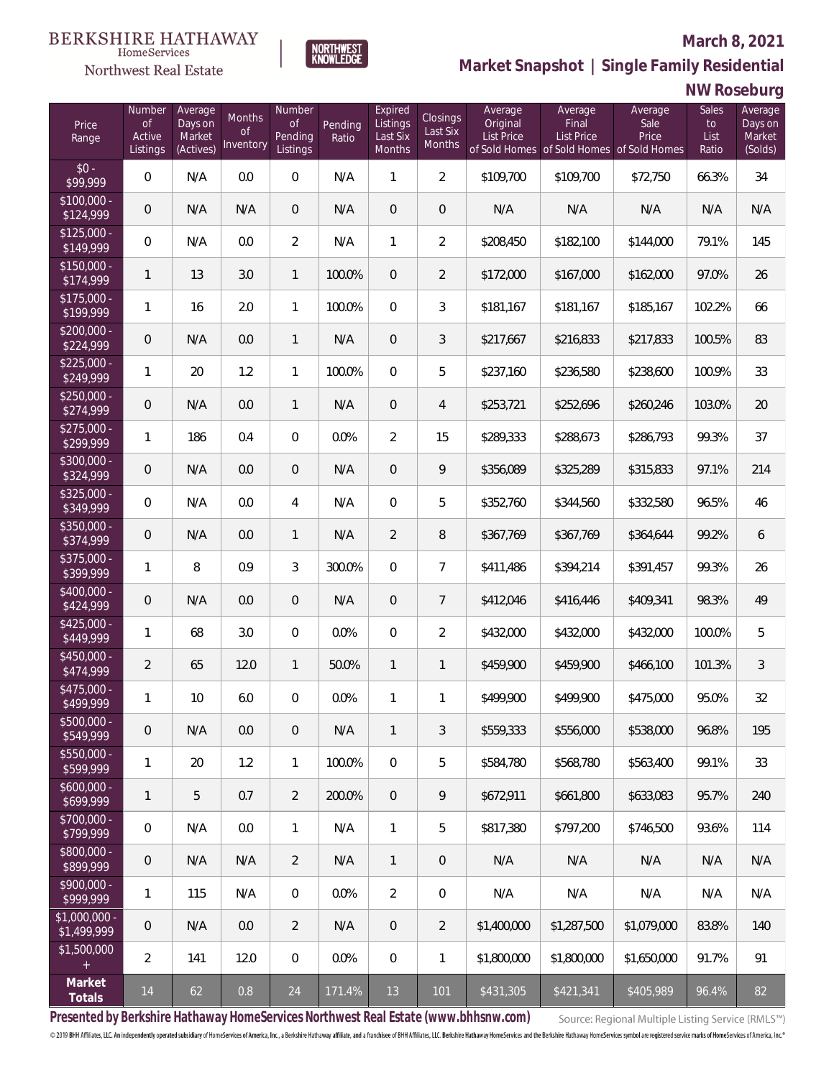

Northwest Real Estate

**Market Snapshot | Single Family Residential**

## **NW Roseburg**

| Price<br>Range                    | Number<br>$\circ f$<br>Active<br>Listings | Average<br>Days on<br>Market<br>(Actives) | Months<br>Οf<br>Inventory | Number<br>of<br>Pending<br>Listings | Pending<br>Ratio | Expired<br>Listings<br>Last Six<br>Months | Closings<br>Last Six<br>Months | Average<br>Original<br><b>List Price</b> | Average<br>Final<br>List Price | Average<br>Sale<br>Price<br>of Sold Homes of Sold Homes of Sold Homes | Sales<br>to<br>List<br>Ratio | Average<br>Days on<br>Market<br>(Solds) |
|-----------------------------------|-------------------------------------------|-------------------------------------------|---------------------------|-------------------------------------|------------------|-------------------------------------------|--------------------------------|------------------------------------------|--------------------------------|-----------------------------------------------------------------------|------------------------------|-----------------------------------------|
| $$0 -$<br>\$99,999                | 0                                         | N/A                                       | 0.0                       | $\overline{0}$                      | N/A              | 1                                         | $\overline{2}$                 | \$109,700                                | \$109,700                      | \$72,750                                                              | 66.3%                        | 34                                      |
| $$100,000 -$<br>\$124,999         | $\overline{0}$                            | N/A                                       | N/A                       | $\overline{0}$                      | N/A              | $\overline{0}$                            | $\overline{0}$                 | N/A                                      | N/A                            | N/A                                                                   | N/A                          | N/A                                     |
| $$125,000 -$<br>\$149,999         | 0                                         | N/A                                       | 0.0                       | $\overline{2}$                      | N/A              | $\mathbf{1}$                              | $\overline{2}$                 | \$208,450                                | \$182,100                      | \$144,000                                                             | 79.1%                        | 145                                     |
| $$150,000 -$<br>$\sqrt{$174,999}$ | $\mathbf{1}$                              | 13                                        | 3.0                       | $\mathbf{1}$                        | 100.0%           | $\overline{0}$                            | $\overline{2}$                 | \$172,000                                | \$167,000                      | \$162,000                                                             | 97.0%                        | 26                                      |
| $$175,000 -$<br>\$199,999         | $\mathbf{1}$                              | 16                                        | 2.0                       | $\mathbf{1}$                        | 100.0%           | $\overline{0}$                            | 3                              | \$181,167                                | \$181,167                      | \$185,167                                                             | 102.2%                       | 66                                      |
| $$200,000 -$<br>\$224,999         | $\overline{0}$                            | N/A                                       | 0.0                       | 1                                   | N/A              | $\overline{0}$                            | 3                              | \$217,667                                | \$216,833                      | \$217,833                                                             | 100.5%                       | 83                                      |
| $$225,000 -$<br>\$249,999         | $\mathbf{1}$                              | 20                                        | 1.2                       | 1                                   | 100.0%           | $\overline{0}$                            | 5                              | \$237,160                                | \$236,580                      | \$238,600                                                             | 100.9%                       | 33                                      |
| $$250,000 -$<br>\$274,999         | $\overline{0}$                            | N/A                                       | 0.0                       | 1                                   | N/A              | $\overline{0}$                            | $\overline{4}$                 | \$253,721                                | \$252,696                      | \$260,246                                                             | 103.0%                       | 20                                      |
| $$275,000 -$<br>\$299,999         | $\mathbf{1}$                              | 186                                       | 0.4                       | $\boldsymbol{0}$                    | 0.0%             | $\overline{2}$                            | 15                             | \$289,333                                | \$288,673                      | \$286,793                                                             | 99.3%                        | 37                                      |
| $$300,000 -$<br>\$324,999         | $\overline{0}$                            | N/A                                       | 0.0                       | $\boldsymbol{0}$                    | N/A              | $\overline{0}$                            | 9                              | \$356,089                                | \$325,289                      | \$315,833                                                             | 97.1%                        | 214                                     |
| $$325,000 -$<br>\$349,999         | 0                                         | N/A                                       | 0.0                       | 4                                   | N/A              | $\overline{0}$                            | 5                              | \$352,760                                | \$344,560                      | \$332,580                                                             | 96.5%                        | 46                                      |
| $$350,000 -$<br>\$374,999         | $\overline{0}$                            | N/A                                       | 0.0                       | 1                                   | N/A              | $\overline{2}$                            | 8                              | \$367,769                                | \$367,769                      | \$364,644                                                             | 99.2%                        | 6                                       |
| $$375,000 -$<br>\$399,999         | 1                                         | 8                                         | 0.9                       | 3                                   | 300.0%           | $\overline{0}$                            | $\overline{7}$                 | \$411,486                                | \$394,214                      | \$391,457                                                             | 99.3%                        | 26                                      |
| \$400,000 -<br>\$424,999          | $\overline{0}$                            | N/A                                       | 0.0                       | $\boldsymbol{0}$                    | N/A              | $\overline{0}$                            | $\overline{7}$                 | \$412,046                                | \$416,446                      | \$409,341                                                             | 98.3%                        | 49                                      |
| $$425,000 -$<br>\$449,999         | 1                                         | 68                                        | 3.0                       | $\boldsymbol{0}$                    | 0.0%             | $\overline{0}$                            | $\overline{2}$                 | \$432,000                                | \$432,000                      | \$432,000                                                             | 100.0%                       | 5                                       |
| \$450,000 -<br>\$474,999          | $\overline{2}$                            | 65                                        | 12.0                      | 1                                   | 50.0%            | $\mathbf{1}$                              | $\mathbf{1}$                   | \$459,900                                | \$459,900                      | \$466,100                                                             | 101.3%                       | 3                                       |
| \$475,000 -<br>\$499,999          | 1                                         | 10                                        | $6.0\,$                   | 0                                   | 0.0%             | 1                                         | 1                              | \$499,900                                | \$499,900                      | \$475,000                                                             | 95.0%                        | 32                                      |
| $$500,000 -$<br>\$549,999         | 0                                         | N/A                                       | 0.0                       | $\overline{0}$                      | N/A              | $\mathbf{1}$                              | 3                              | \$559,333                                | \$556,000                      | \$538,000                                                             | 96.8%                        | 195                                     |
| $$550,000 -$<br>\$599,999         | 1                                         | 20                                        | 1.2                       | $\mathbf{1}$                        | 100.0%           | $\overline{0}$                            | 5                              | \$584,780                                | \$568,780                      | \$563,400                                                             | 99.1%                        | 33                                      |
| $$600,000 -$<br>\$699,999         | $\mathbf{1}$                              | 5                                         | 0.7                       | $\overline{2}$                      | 200.0%           | $\overline{0}$                            | 9                              | \$672,911                                | \$661,800                      | \$633,083                                                             | 95.7%                        | 240                                     |
| \$700,000 -<br>\$799,999          | 0                                         | N/A                                       | 0.0                       | $\mathbf{1}$                        | N/A              | $\overline{1}$                            | 5                              | \$817,380                                | \$797,200                      | \$746,500                                                             | 93.6%                        | 114                                     |
| \$800,000 -<br>\$899,999          | $\mathbf 0$                               | N/A                                       | N/A                       | $\overline{2}$                      | N/A              | $\overline{1}$                            | $\overline{0}$                 | N/A                                      | N/A                            | N/A                                                                   | N/A                          | N/A                                     |
| \$900,000 -<br>\$999,999          | 1                                         | 115                                       | N/A                       | $\overline{0}$                      | 0.0%             | $\overline{2}$                            | 0                              | N/A                                      | N/A                            | N/A                                                                   | N/A                          | N/A                                     |
| $$1,000,000 -$<br>\$1,499,999     | $\mathbf 0$                               | N/A                                       | 0.0                       | $\overline{2}$                      | N/A              | $\overline{0}$                            | 2                              | \$1,400,000                              | \$1,287,500                    | \$1,079,000                                                           | 83.8%                        | 140                                     |
| \$1,500,000                       | $\overline{2}$                            | 141                                       | 12.0                      | $\overline{0}$                      | 0.0%             | $\mathbf 0$                               | $\mathbf{1}$                   | \$1,800,000                              | \$1,800,000                    | \$1,650,000                                                           | 91.7%                        | 91                                      |
| Market<br>Totals                  | 14                                        | 62                                        | 0.8                       | 24                                  | 171.4%           | 13                                        | 101                            | \$431,305                                | \$421,341                      | \$405,989                                                             | 96.4%                        | 82                                      |

**NORTHWEST**<br>KNOWLEDGE

**Presented by Berkshire Hathaway HomeServices Northwest Real Estate (www.bhhsnw.com)**

Source: Regional Multiple Listing Service (RMLS™)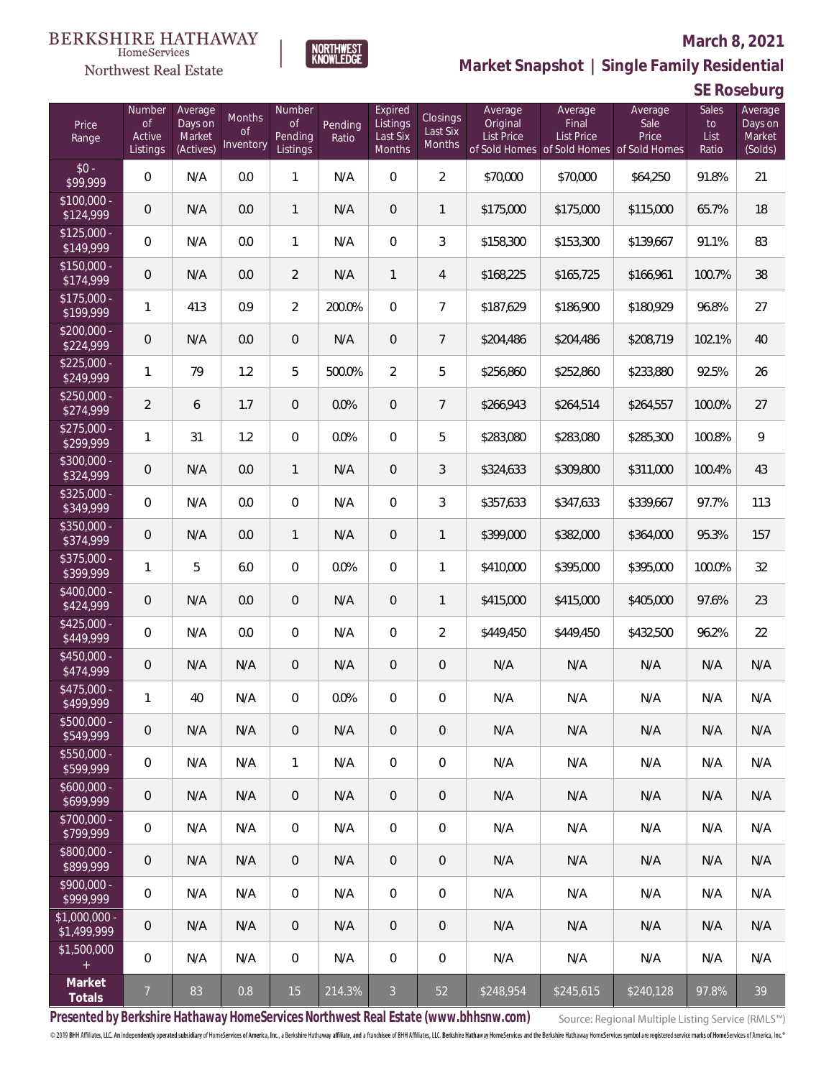#### **BERKSHIRE HATHAWAY**  $\label{lem:sevices} \textsc{Home} \textsc{Service} \textsc{s}$

NORTHWEST<br>KNOWLEDGE

Northwest Real Estate

# **Market Snapshot | Single Family Residential**

| SE Roseburg |  |
|-------------|--|
|-------------|--|

| Price<br>Range                | Number<br><b>of</b><br>Active<br>Listings | Average<br>Days on<br>Market<br>(Actives) | Months<br>Οf<br>Inventory | Number<br><b>of</b><br>Pending<br>Listings | Pending<br>Ratio | Expired<br>Listings<br>Last Six<br>Months | Closings<br>Last Six<br>Months | Average<br>Original<br><b>List Price</b> | Average<br>Final<br><b>List Price</b><br>of Sold Homes of Sold Homes of Sold Homes | Average<br>Sale<br>Price | Sales<br>to<br>List<br>Ratio | Average<br>Days on<br>Market<br>(Solds) |
|-------------------------------|-------------------------------------------|-------------------------------------------|---------------------------|--------------------------------------------|------------------|-------------------------------------------|--------------------------------|------------------------------------------|------------------------------------------------------------------------------------|--------------------------|------------------------------|-----------------------------------------|
| $$0 -$<br>\$99,999            | 0                                         | N/A                                       | 0.0                       | 1                                          | N/A              | $\overline{0}$                            | $\overline{2}$                 | \$70,000                                 | \$70,000                                                                           | \$64,250                 | 91.8%                        | 21                                      |
| $$100,000 -$<br>\$124,999     | 0                                         | N/A                                       | 0.0                       | $\mathbf{1}$                               | N/A              | $\overline{0}$                            | $\mathbf{1}$                   | \$175,000                                | \$175,000                                                                          | \$115,000                | 65.7%                        | 18                                      |
| $$125,000 -$<br>\$149,999     | $\boldsymbol{0}$                          | N/A                                       | 0.0                       | $\mathbf{1}$                               | N/A              | $\overline{0}$                            | 3                              | \$158,300                                | \$153,300                                                                          | \$139,667                | 91.1%                        | 83                                      |
| $$150,000 -$<br>\$174,999     | $\mathbf 0$                               | N/A                                       | 0.0                       | $\overline{2}$                             | N/A              | $\mathbf{1}$                              | 4                              | \$168,225                                | \$165,725                                                                          | \$166,961                | 100.7%                       | 38                                      |
| $$175,000 -$<br>\$199,999     | $\mathbf{1}$                              | 413                                       | 0.9                       | $\overline{2}$                             | 200.0%           | $\overline{0}$                            | $\overline{7}$                 | \$187,629                                | \$186,900                                                                          | \$180,929                | 96.8%                        | 27                                      |
| $$200,000 -$<br>\$224,999     | $\mathbf 0$                               | N/A                                       | 0.0                       | 0                                          | N/A              | $\overline{0}$                            | $7\overline{ }$                | \$204,486                                | \$204,486                                                                          | \$208,719                | 102.1%                       | 40                                      |
| $$225,000 -$<br>\$249,999     | $\mathbf{1}$                              | 79                                        | 1.2                       | 5                                          | 500.0%           | $\overline{2}$                            | 5                              | \$256,860                                | \$252,860                                                                          | \$233,880                | 92.5%                        | 26                                      |
| $$250,000 -$<br>\$274,999     | $\overline{2}$                            | 6                                         | 1.7                       | 0                                          | 0.0%             | $\overline{0}$                            | $7^{\circ}$                    | \$266,943                                | \$264,514                                                                          | \$264,557                | 100.0%                       | 27                                      |
| $$275,000 -$<br>\$299,999     | $\mathbf{1}$                              | 31                                        | 1.2                       | $\overline{0}$                             | 0.0%             | $\overline{0}$                            | 5                              | \$283,080                                | \$283,080                                                                          | \$285,300                | 100.8%                       | 9                                       |
| $$300,000 -$<br>\$324,999     | $\mathbf 0$                               | N/A                                       | 0.0                       | $\mathbf{1}$                               | N/A              | $\overline{0}$                            | 3                              | \$324,633                                | \$309,800                                                                          | \$311,000                | 100.4%                       | 43                                      |
| $$325,000 -$<br>\$349,999     | 0                                         | N/A                                       | 0.0                       | $\overline{0}$                             | N/A              | $\overline{0}$                            | 3                              | \$357,633                                | \$347,633                                                                          | \$339,667                | 97.7%                        | 113                                     |
| \$350,000 -<br>\$374,999      | 0                                         | N/A                                       | 0.0                       | $\mathbf{1}$                               | N/A              | $\overline{0}$                            | $\mathbf{1}$                   | \$399,000                                | \$382,000                                                                          | \$364,000                | 95.3%                        | 157                                     |
| $$375,000 -$<br>\$399,999     | $\mathbf{1}$                              | 5                                         | 6.0                       | $\overline{0}$                             | 0.0%             | $\overline{0}$                            | $\mathbf{1}$                   | \$410,000                                | \$395,000                                                                          | \$395,000                | 100.0%                       | 32                                      |
| $$400,000 -$<br>\$424,999     | 0                                         | N/A                                       | 0.0                       | $\overline{0}$                             | N/A              | $\overline{0}$                            | $\mathbf{1}$                   | \$415,000                                | \$415,000                                                                          | \$405,000                | 97.6%                        | 23                                      |
| $$425,000 -$<br>\$449,999     | 0                                         | N/A                                       | 0.0                       | 0                                          | N/A              | $\overline{0}$                            | $\overline{2}$                 | \$449,450                                | \$449,450                                                                          | \$432,500                | 96.2%                        | 22                                      |
| \$450,000 -<br>\$474,999      | 0                                         | N/A                                       | N/A                       | 0                                          | N/A              | $\overline{0}$                            | 0                              | N/A                                      | N/A                                                                                | N/A                      | N/A                          | N/A                                     |
| \$475,000 -<br>\$499,999      | $\mathbf{1}$                              | 40                                        | N/A                       | 0                                          | 0.0%             | 0                                         | 0                              | N/A                                      | N/A                                                                                | N/A                      | N/A                          | N/A                                     |
| $$500,000 -$<br>\$549,999     | 0                                         | N/A                                       | N/A                       | 0                                          | N/A              | $\mathbf 0$                               | $\theta$                       | N/A                                      | N/A                                                                                | N/A                      | N/A                          | N/A                                     |
| $$550,000 -$<br>\$599,999     | $\boldsymbol{0}$                          | N/A                                       | N/A                       | $\mathbf{1}$                               | N/A              | $\mathbf 0$                               | $\mathbf 0$                    | N/A                                      | N/A                                                                                | N/A                      | N/A                          | N/A                                     |
| $$600,000 -$<br>\$699,999     | 0                                         | N/A                                       | N/A                       | $\overline{0}$                             | N/A              | $\overline{0}$                            | $\mathbf 0$                    | N/A                                      | N/A                                                                                | N/A                      | N/A                          | N/A                                     |
| \$700,000 -<br>\$799,999      | $\boldsymbol{0}$                          | N/A                                       | N/A                       | $\overline{0}$                             | N/A              | $\mathbf 0$                               | $\boldsymbol{0}$               | N/A                                      | N/A                                                                                | N/A                      | N/A                          | N/A                                     |
| \$800,000 -<br>\$899,999      | 0                                         | N/A                                       | N/A                       | $\overline{0}$                             | N/A              | $\mathbf 0$                               | $\mathbf 0$                    | N/A                                      | N/A                                                                                | N/A                      | N/A                          | N/A                                     |
| \$900,000 -<br>\$999,999      | $\boldsymbol{0}$                          | N/A                                       | N/A                       | $\overline{0}$                             | N/A              | $\mathbf 0$                               | $\,0\,$                        | N/A                                      | N/A                                                                                | N/A                      | N/A                          | N/A                                     |
| $$1,000,000$ -<br>\$1,499,999 | $\mathbf 0$                               | N/A                                       | N/A                       | $\mathbf 0$                                | N/A              | $\overline{0}$                            | $\,0\,$                        | N/A                                      | N/A                                                                                | N/A                      | N/A                          | N/A                                     |
| \$1,500,000<br>$\pm$          | 0                                         | N/A                                       | N/A                       | $\overline{0}$                             | N/A              | $\mathbf 0$                               | $\,0\,$                        | N/A                                      | N/A                                                                                | N/A                      | N/A                          | N/A                                     |
| Market<br>Totals              | $\overline{7}$                            | 83                                        | 0.8                       | 15                                         | 214.3%           | $\mathfrak{Z}$                            | 52                             | \$248,954                                | \$245,615                                                                          | \$240,128                | 97.8%                        | 39                                      |

**Presented by Berkshire Hathaway HomeServices Northwest Real Estate (www.bhhsnw.com)**

Source: Regional Multiple Listing Service (RMLS™)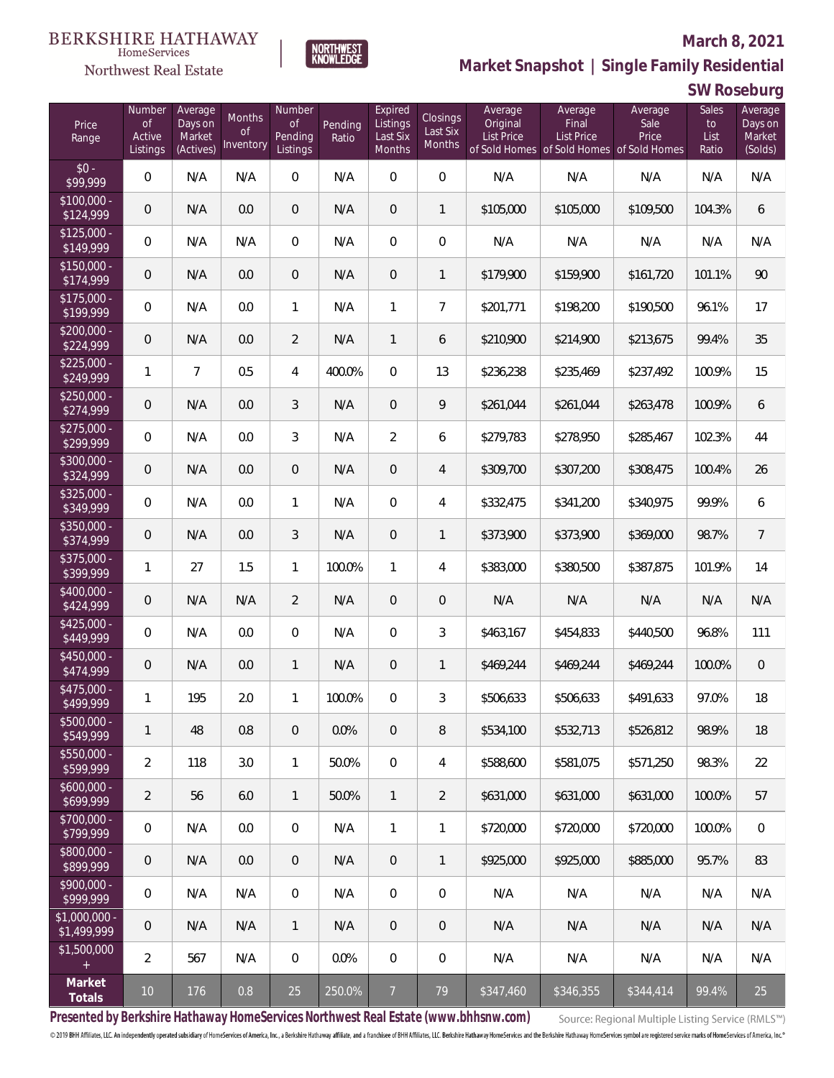**SW Roseburg**



**Market Snapshot | Single Family Residential**

#### $\label{lem:sevices} \textsc{Home} \textsc{Service} \textsc{s}$ Northwest Real Estate

| Price<br>Range                | Number<br><b>of</b><br>Active<br>Listings | Average<br>Days on<br>Market<br>(Actives) | Months<br>0f<br>Inventory | Number<br>$\mathop{\rm of}$<br>Pending<br>Listings | Pending<br>Ratio | Expired<br>Listings<br>Last Six<br>Months | Closings<br>Last Six<br>Months | Average<br>Original<br><b>List Price</b> | Average<br>Final<br>List Price<br>of Sold Homes of Sold Homes of Sold Homes | Average<br>Sale<br>Price | Sales<br>to<br>List<br>Ratio | Average<br>Days on<br>Market<br>(Solds) |
|-------------------------------|-------------------------------------------|-------------------------------------------|---------------------------|----------------------------------------------------|------------------|-------------------------------------------|--------------------------------|------------------------------------------|-----------------------------------------------------------------------------|--------------------------|------------------------------|-----------------------------------------|
| $$0 -$<br>\$99,999            | $\overline{0}$                            | N/A                                       | N/A                       | 0                                                  | N/A              | 0                                         | $\overline{0}$                 | N/A                                      | N/A                                                                         | N/A                      | N/A                          | N/A                                     |
| $$100,000 -$<br>\$124,999     | $\overline{0}$                            | N/A                                       | 0.0                       | $\boldsymbol{0}$                                   | N/A              | $\overline{0}$                            | $\mathbf{1}$                   | \$105,000                                | \$105,000                                                                   | \$109,500                | 104.3%                       | 6                                       |
| $$125,000 -$<br>\$149,999     | $\overline{0}$                            | N/A                                       | N/A                       | $\boldsymbol{0}$                                   | N/A              | $\overline{0}$                            | 0                              | N/A                                      | N/A                                                                         | N/A                      | N/A                          | N/A                                     |
| $$150,000 -$<br>\$174,999     | $\overline{0}$                            | N/A                                       | 0.0                       | $\boldsymbol{0}$                                   | N/A              | $\overline{0}$                            | $\mathbf{1}$                   | \$179,900                                | \$159,900                                                                   | \$161,720                | 101.1%                       | 90                                      |
| $$175,000 -$<br>\$199,999     | $\mathbf 0$                               | N/A                                       | 0.0                       | 1                                                  | N/A              | 1                                         | $\overline{7}$                 | \$201,771                                | \$198,200                                                                   | \$190,500                | 96.1%                        | 17                                      |
| $$200,000 -$<br>\$224,999     | $\overline{0}$                            | N/A                                       | 0.0                       | 2                                                  | N/A              | $\mathbf{1}$                              | 6                              | \$210,900                                | \$214,900                                                                   | \$213,675                | 99.4%                        | 35                                      |
| $$225,000 -$<br>\$249,999     | 1                                         | $\overline{7}$                            | 0.5                       | 4                                                  | 400.0%           | $\overline{0}$                            | 13                             | \$236,238                                | \$235,469                                                                   | \$237,492                | 100.9%                       | 15                                      |
| $$250,000 -$<br>\$274,999     | $\overline{0}$                            | N/A                                       | 0.0                       | 3                                                  | N/A              | $\overline{0}$                            | 9                              | \$261,044                                | \$261,044                                                                   | \$263,478                | 100.9%                       | 6                                       |
| $$275,000 -$<br>\$299,999     | $\overline{0}$                            | N/A                                       | 0.0                       | 3                                                  | N/A              | $\overline{2}$                            | 6                              | \$279,783                                | \$278,950                                                                   | \$285,467                | 102.3%                       | 44                                      |
| \$300,000 -<br>\$324,999      | $\theta$                                  | N/A                                       | 0.0                       | $\theta$                                           | N/A              | $\overline{0}$                            | 4                              | \$309,700                                | \$307,200                                                                   | \$308,475                | 100.4%                       | 26                                      |
| $$325,000 -$<br>\$349,999     | $\overline{0}$                            | N/A                                       | 0.0                       | 1                                                  | N/A              | $\overline{0}$                            | 4                              | \$332,475                                | \$341,200                                                                   | \$340,975                | 99.9%                        | 6                                       |
| \$350,000 -<br>\$374,999      | $\overline{0}$                            | N/A                                       | 0.0                       | 3                                                  | N/A              | $\overline{0}$                            | $\mathbf{1}$                   | \$373,900                                | \$373,900                                                                   | \$369,000                | 98.7%                        | $\overline{7}$                          |
| \$375,000 -<br>\$399,999      | 1                                         | 27                                        | 1.5                       | $\mathbf{1}$                                       | 100.0%           | $\mathbf{1}$                              | 4                              | \$383,000                                | \$380,500                                                                   | \$387,875                | 101.9%                       | 14                                      |
| $$400,000 -$<br>\$424,999     | $\overline{0}$                            | N/A                                       | N/A                       | $\overline{2}$                                     | N/A              | $\overline{0}$                            | $\mathbf 0$                    | N/A                                      | N/A                                                                         | N/A                      | N/A                          | N/A                                     |
| $$425,000 -$<br>\$449,999     | $\mathbf 0$                               | N/A                                       | 0.0                       | $\boldsymbol{0}$                                   | N/A              | $\overline{0}$                            | $\mathfrak{Z}$                 | \$463,167                                | \$454,833                                                                   | \$440,500                | 96.8%                        | 111                                     |
| \$450,000 -<br>\$474,999      | $\overline{0}$                            | N/A                                       | 0.0                       | $\mathbf{1}$                                       | N/A              | $\overline{0}$                            | $\mathbf{1}$                   | \$469,244                                | \$469,244                                                                   | \$469,244                | 100.0%                       | $\mathbf 0$                             |
| \$475,000 -<br>\$499,999      | $\mathbf{1}$                              | 195                                       | 2.0                       | $\mathbf{1}$                                       | 100.0%           | 0                                         | 3                              | \$506,633                                | \$506,633                                                                   | \$491,633                | 97.0%                        | 18                                      |
| \$500,000 -<br>\$549,999      | 1                                         | 48                                        | 0.8                       | 0                                                  | 0.0%             | 0                                         | 8                              | \$534,100                                | \$532,713                                                                   | \$526,812                | 98.9%                        | 18                                      |
| \$550,000 -<br>\$599,999      | $\overline{2}$                            | 118                                       | 3.0                       | $\mathbf{1}$                                       | 50.0%            | $\overline{0}$                            | 4                              | \$588,600                                | \$581,075                                                                   | \$571,250                | 98.3%                        | 22                                      |
| $$600,000 -$<br>\$699,999     | $\overline{2}$                            | 56                                        | 6.0                       | $\mathbf{1}$                                       | 50.0%            | $\mathbf{1}$                              | $\overline{2}$                 | \$631,000                                | \$631,000                                                                   | \$631,000                | 100.0%                       | 57                                      |
| \$700,000 -<br>\$799,999      | $\mathbf 0$                               | N/A                                       | 0.0                       | 0                                                  | N/A              | 1                                         | $\mathbf{1}$                   | \$720,000                                | \$720,000                                                                   | \$720,000                | 100.0%                       | 0                                       |
| \$800,000 -<br>\$899,999      | $\mathsf{O}\xspace$                       | N/A                                       | 0.0                       | $\theta$                                           | N/A              | 0                                         | $\mathbf{1}$                   | \$925,000                                | \$925,000                                                                   | \$885,000                | 95.7%                        | 83                                      |
| \$900,000 -<br>\$999,999      | $\mathbf 0$                               | N/A                                       | N/A                       | $\boldsymbol{0}$                                   | N/A              | 0                                         | $\mathbf{0}$                   | N/A                                      | N/A                                                                         | N/A                      | N/A                          | N/A                                     |
| $$1,000,000 -$<br>\$1,499,999 | $\overline{0}$                            | N/A                                       | N/A                       | $\mathbf{1}$                                       | N/A              | 0                                         | 0                              | N/A                                      | N/A                                                                         | N/A                      | N/A                          | N/A                                     |
| \$1,500,000<br>$+$            | $\overline{2}$                            | 567                                       | N/A                       | $\boldsymbol{0}$                                   | 0.0%             | $\boldsymbol{0}$                          | 0                              | N/A                                      | N/A                                                                         | N/A                      | N/A                          | N/A                                     |
| Market<br>Totals              | 10 <sup>°</sup>                           | 176                                       | 0.8                       | 25                                                 | 250.0%           | 7 <sup>7</sup>                            | 79                             | \$347,460                                | \$346,355                                                                   | \$344,414                | 99.4%                        | 25                                      |

**Presented by Berkshire Hathaway HomeServices Northwest Real Estate (www.bhhsnw.com)**

Source: Regional Multiple Listing Service (RMLS™)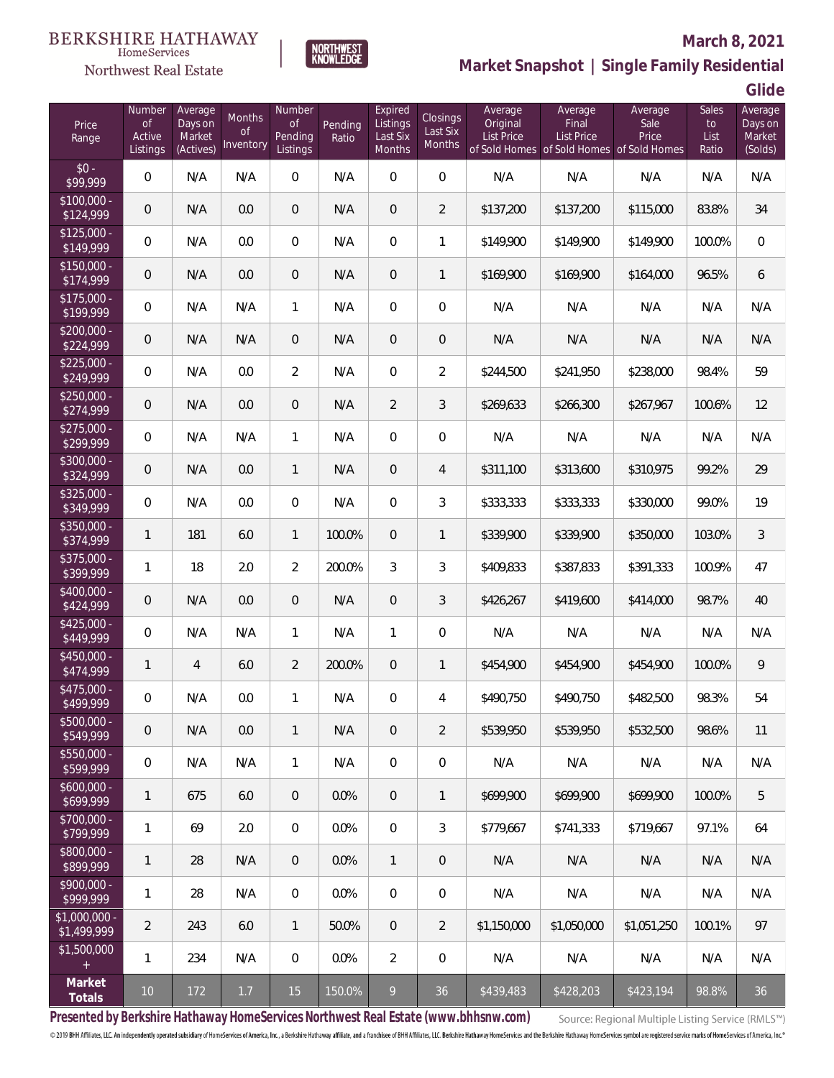#### **BERKSHIRE HATHAWAY** HomeServices

### Northwest Real Estate

#### **March 8, 2021**



### **Market Snapshot | Single Family Residential**

**Glide**

| Price<br>Range                    | Number<br><b>of</b><br>Active<br>Listings | Average<br>Days on<br>Market<br>(Actives) | Months<br><b>of</b><br>Inventory | Number<br>of<br>Pending<br>Listings | Pending<br>Ratio | Expired<br>Listings<br>Last Six<br>Months | <b>Closings</b><br>Last Six<br><b>Months</b> | Average<br>Original<br><b>List Price</b> | Average<br>Final<br><b>List Price</b><br>of Sold Homes of Sold Homes of Sold Homes | Average<br>Sale<br>Price | Sales<br>to<br>List<br>Ratio | Average<br>Days on<br>Market<br>(Solds) |
|-----------------------------------|-------------------------------------------|-------------------------------------------|----------------------------------|-------------------------------------|------------------|-------------------------------------------|----------------------------------------------|------------------------------------------|------------------------------------------------------------------------------------|--------------------------|------------------------------|-----------------------------------------|
| $$0 -$<br>\$99,999                | $\boldsymbol{0}$                          | N/A                                       | N/A                              | 0                                   | N/A              | $\mathbf 0$                               | $\boldsymbol{0}$                             | N/A                                      | N/A                                                                                | N/A                      | N/A                          | N/A                                     |
| $$100,000 -$<br>$\sqrt{$124,999}$ | 0                                         | N/A                                       | 0.0                              | 0                                   | N/A              | $\overline{0}$                            | $\overline{2}$                               | \$137,200                                | \$137,200                                                                          | \$115,000                | 83.8%                        | 34                                      |
| $$125,000 -$<br>$\sqrt{149,999}$  | $\mathbf 0$                               | N/A                                       | 0.0                              | $\overline{0}$                      | N/A              | $\boldsymbol{0}$                          | $\mathbf{1}$                                 | \$149,900                                | \$149,900                                                                          | \$149,900                | 100.0%                       | $\mathbf 0$                             |
| $$150,000 -$<br>\$174,999         | 0                                         | N/A                                       | 0.0                              | 0                                   | N/A              | $\overline{0}$                            | $\mathbf{1}$                                 | \$169,900                                | \$169,900                                                                          | \$164,000                | 96.5%                        | 6                                       |
| $$175,000 -$<br>\$199,999         | $\boldsymbol{0}$                          | N/A                                       | N/A                              | $\mathbf{1}$                        | N/A              | $\mathbf 0$                               | $\boldsymbol{0}$                             | N/A                                      | N/A                                                                                | N/A                      | N/A                          | N/A                                     |
| $$200,000 -$<br>\$224,999         | $\mathbf 0$                               | N/A                                       | N/A                              | 0                                   | N/A              | $\boldsymbol{0}$                          | $\theta$                                     | N/A                                      | N/A                                                                                | N/A                      | N/A                          | N/A                                     |
| $$225,000 -$<br>\$249,999         | $\boldsymbol{0}$                          | N/A                                       | 0.0                              | $\overline{2}$                      | N/A              | $\boldsymbol{0}$                          | $\overline{2}$                               | \$244,500                                | \$241,950                                                                          | \$238,000                | 98.4%                        | 59                                      |
| $\sqrt{$250,000}$ -<br>\$274,999  | $\mathbf 0$                               | N/A                                       | 0.0                              | 0                                   | N/A              | $\overline{2}$                            | 3                                            | \$269,633                                | \$266,300                                                                          | \$267,967                | 100.6%                       | 12                                      |
| $$275,000 -$<br>\$299,999         | $\boldsymbol{0}$                          | N/A                                       | N/A                              | 1                                   | N/A              | $\mathbf 0$                               | $\boldsymbol{0}$                             | N/A                                      | N/A                                                                                | N/A                      | N/A                          | N/A                                     |
| $$300,000 -$<br>\$324,999         | $\mathbf 0$                               | N/A                                       | 0.0                              | $\mathbf{1}$                        | N/A              | $\mathbf 0$                               | 4                                            | \$311,100                                | \$313,600                                                                          | \$310,975                | 99.2%                        | 29                                      |
| $$325,000 -$<br>\$349,999         | $\boldsymbol{0}$                          | N/A                                       | 0.0                              | $\overline{0}$                      | N/A              | $\overline{0}$                            | 3                                            | \$333,333                                | \$333,333                                                                          | \$330,000                | 99.0%                        | 19                                      |
| $$350,000 -$<br>\$374,999         | $\mathbf{1}$                              | 181                                       | 6.0                              | 1                                   | 100.0%           | $\mathbf 0$                               | $\mathbf{1}$                                 | \$339,900                                | \$339,900                                                                          | \$350,000                | 103.0%                       | 3                                       |
| $$375,000 -$<br>\$399,999         | $\mathbf{1}$                              | 18                                        | 2.0                              | $\overline{2}$                      | 200.0%           | 3                                         | 3                                            | \$409,833                                | \$387,833                                                                          | \$391,333                | 100.9%                       | 47                                      |
| $$400,000 -$<br>\$424,999         | $\mathbf 0$                               | N/A                                       | 0.0                              | 0                                   | N/A              | $\boldsymbol{0}$                          | 3                                            | \$426,267                                | \$419,600                                                                          | \$414,000                | 98.7%                        | 40                                      |
| $$425,000 -$<br>\$449,999         | $\boldsymbol{0}$                          | N/A                                       | N/A                              | 1                                   | N/A              | $\mathbf{1}$                              | $\mathbf 0$                                  | N/A                                      | N/A                                                                                | N/A                      | N/A                          | N/A                                     |
| $$450,000 -$<br>\$474,999         | $\mathbf{1}$                              | $\overline{4}$                            | 6.0                              | $\overline{2}$                      | 200.0%           | $\mathbf 0$                               | $\mathbf{1}$                                 | \$454,900                                | \$454,900                                                                          | \$454,900                | 100.0%                       | 9                                       |
| \$475,000 -<br>\$499,999          | $\boldsymbol{0}$                          | N/A                                       | 0.0                              | 1                                   | N/A              | 0                                         | 4                                            | \$490,750                                | \$490,750                                                                          | \$482,500                | 98.3%                        | 54                                      |
| $$500,000 -$<br>\$549,999         | $\mathbf 0$                               | N/A                                       | 0.0                              | 1                                   | N/A              | $\mathbf 0$                               | $\overline{2}$                               | \$539,950                                | \$539,950                                                                          | \$532,500                | 98.6%                        | 11                                      |
| $$550,000 -$<br>\$599,999         | $\boldsymbol{0}$                          | N/A                                       | N/A                              | $\mathbf{1}$                        | N/A              | $\overline{0}$                            | $\mathbf 0$                                  | N/A                                      | N/A                                                                                | N/A                      | N/A                          | N/A                                     |
| $$600,000 -$<br>\$699,999         | 1                                         | 675                                       | 6.0                              | $\mathbf 0$                         | 0.0%             | $\mathbf 0$                               | $\mathbf{1}$                                 | \$699,900                                | \$699,900                                                                          | \$699,900                | 100.0%                       | 5                                       |
| \$700,000 -<br>\$799,999          | 1                                         | 69                                        | 2.0                              | $\mathbf 0$                         | 0.0%             | $\mathbf 0$                               | 3                                            | \$779,667                                | \$741,333                                                                          | \$719,667                | 97.1%                        | 64                                      |
| \$800,000 -<br>\$899,999          | 1                                         | 28                                        | N/A                              | $\mathbf 0$                         | 0.0%             | $\overline{1}$                            | $\,0\,$                                      | N/A                                      | N/A                                                                                | N/A                      | N/A                          | N/A                                     |
| \$900,000 -<br>\$999,999          | 1                                         | 28                                        | N/A                              | $\mathbf 0$                         | 0.0%             | $\mathbf 0$                               | $\mathbf 0$                                  | N/A                                      | N/A                                                                                | N/A                      | N/A                          | N/A                                     |
| \$1,000,000 -<br>\$1,499,999      | $\overline{2}$                            | 243                                       | 6.0                              | $\mathbf{1}$                        | 50.0%            | $\mathbf 0$                               | $\overline{2}$                               | \$1,150,000                              | \$1,050,000                                                                        | \$1,051,250              | 100.1%                       | 97                                      |
| \$1,500,000<br>$\pm$              | 1                                         | 234                                       | N/A                              | $\mathbf 0$                         | 0.0%             | $\overline{2}$                            | $\mathbf 0$                                  | N/A                                      | N/A                                                                                | N/A                      | N/A                          | N/A                                     |
| Market<br>Totals                  | $10\,$                                    | 172                                       | $1.7$                            | 15                                  | 150.0%           | 9                                         | 36                                           | \$439,483                                | \$428,203                                                                          | \$423,194                | 98.8%                        | 36                                      |

**Presented by Berkshire Hathaway HomeServices Northwest Real Estate (www.bhhsnw.com)**

Source: Regional Multiple Listing Service (RMLS™)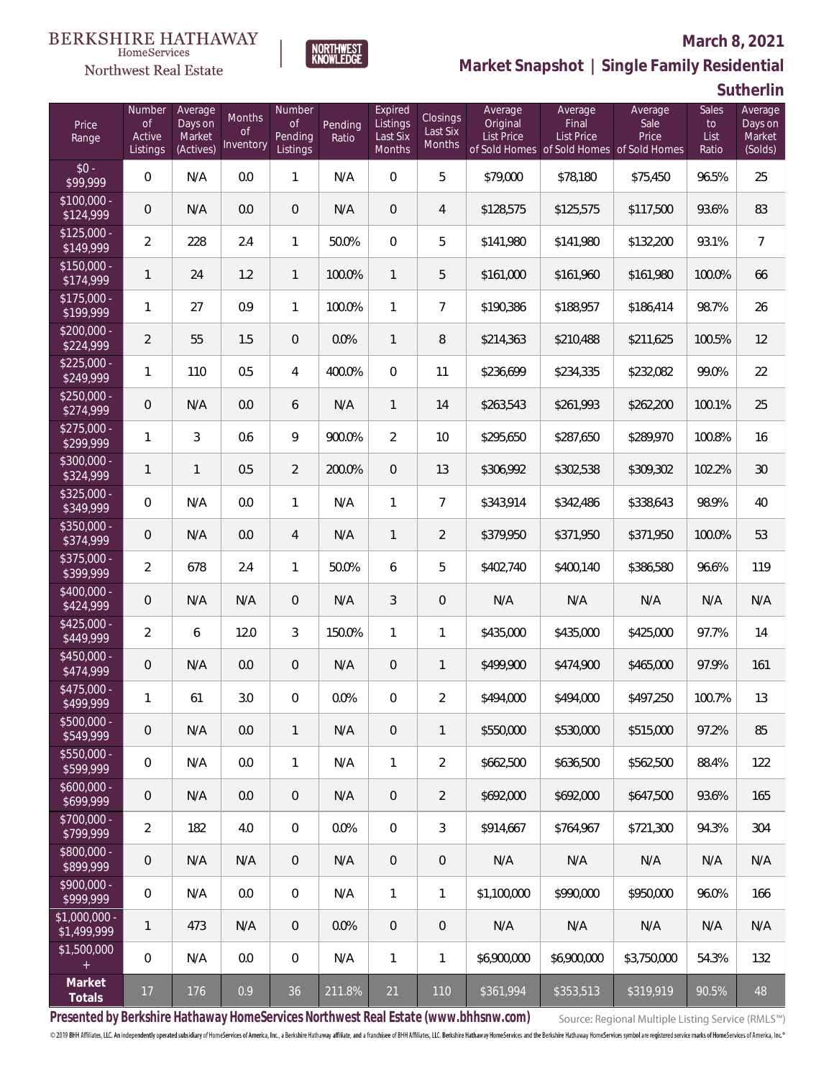#### **BERKSHIRE HATHAWAY**  $\label{lem:sevices} \textsc{Home} \textsc{Service} \textsc{s}$

## Northwest Real Estate



# **Market Snapshot | Single Family Residential**

**Sutherlin**

**March 8, 2021**

| Price<br>Range                | Number<br><b>of</b><br>Active<br>Listings | Average<br>Days on<br>Market<br>(Actives) | Months<br>Οf<br>Inventory | Number<br><b>of</b><br>Pending<br>Listings | Pending<br>Ratio | Expired<br>Listings<br>Last Six<br>Months | <b>Closings</b><br>Last Six<br>Months | Average<br>Original<br><b>List Price</b> | Average<br>Final<br>List Price<br>of Sold Homes of Sold Homes of Sold Homes | Average<br>Sale<br>Price | Sales<br>to<br>List<br>Ratio | Average<br>Days on<br>Market<br>(Solds) |
|-------------------------------|-------------------------------------------|-------------------------------------------|---------------------------|--------------------------------------------|------------------|-------------------------------------------|---------------------------------------|------------------------------------------|-----------------------------------------------------------------------------|--------------------------|------------------------------|-----------------------------------------|
| $$0 -$<br>\$99,999            | $\overline{0}$                            | N/A                                       | 0.0                       | 1                                          | N/A              | $\Omega$                                  | 5                                     | \$79,000                                 | \$78,180                                                                    | \$75,450                 | 96.5%                        | 25                                      |
| $$100,000 -$<br>\$124,999     | $\overline{0}$                            | N/A                                       | 0.0                       | $\boldsymbol{0}$                           | N/A              | $\overline{0}$                            | $\overline{4}$                        | \$128,575                                | \$125,575                                                                   | \$117,500                | 93.6%                        | 83                                      |
| $$125,000 -$<br>\$149,999     | $\overline{2}$                            | 228                                       | 2.4                       | 1                                          | 50.0%            | $\overline{0}$                            | 5                                     | \$141,980                                | \$141,980                                                                   | \$132,200                | 93.1%                        | $\overline{7}$                          |
| $$150,000 -$<br>\$174,999     | $\mathbf{1}$                              | 24                                        | 1.2                       | 1                                          | 100.0%           | $\mathbf{1}$                              | 5                                     | \$161,000                                | \$161,960                                                                   | \$161.980                | 100.0%                       | 66                                      |
| $$175,000 -$<br>\$199,999     | 1                                         | 27                                        | 0.9                       | $\mathbf{1}$                               | 100.0%           | $\mathbf{1}$                              | $\overline{7}$                        | \$190,386                                | \$188,957                                                                   | \$186,414                | 98.7%                        | 26                                      |
| $$200,000 -$<br>\$224,999     | $\overline{2}$                            | 55                                        | 1.5                       | $\overline{0}$                             | 0.0%             | $\mathbf{1}$                              | 8                                     | \$214,363                                | \$210,488                                                                   | \$211,625                | 100.5%                       | 12                                      |
| $$225,000 -$<br>\$249,999     | 1                                         | 110                                       | 0.5                       | 4                                          | 400.0%           | $\overline{0}$                            | 11                                    | \$236,699                                | \$234,335                                                                   | \$232,082                | 99.0%                        | 22                                      |
| $$250,000 -$<br>\$274,999     | $\overline{0}$                            | N/A                                       | 0.0                       | 6                                          | N/A              | $\mathbf{1}$                              | 14                                    | \$263,543                                | \$261,993                                                                   | \$262,200                | 100.1%                       | 25                                      |
| $$275,000 -$<br>\$299,999     | 1                                         | 3                                         | 0.6                       | 9                                          | 900.0%           | $\overline{2}$                            | 10                                    | \$295,650                                | \$287,650                                                                   | \$289,970                | 100.8%                       | 16                                      |
| $$300,000 -$<br>\$324,999     | $\mathbf{1}$                              | $\mathbf{1}$                              | 0.5                       | $\overline{a}$                             | 200.0%           | $\overline{0}$                            | 13                                    | \$306,992                                | \$302,538                                                                   | \$309,302                | 102.2%                       | 30                                      |
| \$325,000 -<br>\$349,999      | 0                                         | N/A                                       | 0.0                       | 1                                          | N/A              | $\mathbf{1}$                              | $\overline{7}$                        | \$343,914                                | \$342,486                                                                   | \$338,643                | 98.9%                        | 40                                      |
| \$350,000 -<br>\$374,999      | $\mathbf 0$                               | N/A                                       | 0.0                       | 4                                          | N/A              | $\mathbf{1}$                              | $\overline{2}$                        | \$379,950                                | \$371,950                                                                   | \$371,950                | 100.0%                       | 53                                      |
| $$375,000 -$<br>\$399,999     | $\overline{2}$                            | 678                                       | 2.4                       | 1                                          | 50.0%            | 6                                         | 5                                     | \$402,740                                | \$400,140                                                                   | \$386,580                | 96.6%                        | 119                                     |
| \$400,000 -<br>\$424,999      | 0                                         | N/A                                       | N/A                       | $\overline{0}$                             | N/A              | 3                                         | $\overline{0}$                        | N/A                                      | N/A                                                                         | N/A                      | N/A                          | N/A                                     |
| $$425,000 -$<br>\$449,999     | $\overline{a}$                            | 6                                         | 12.0                      | 3                                          | 150.0%           | $\mathbf{1}$                              | 1                                     | \$435,000                                | \$435,000                                                                   | \$425,000                | 97.7%                        | 14                                      |
| $$450,000 -$<br>\$474,999     | $\overline{0}$                            | N/A                                       | 0.0                       | $\overline{0}$                             | N/A              | $\overline{0}$                            | $\mathbf{1}$                          | \$499,900                                | \$474,900                                                                   | \$465,000                | 97.9%                        | 161                                     |
| $$475,000 -$<br>\$499,999     | 1                                         | 61                                        | 3.0                       | 0                                          | 0.0%             | $\overline{0}$                            | $\overline{2}$                        | \$494,000                                | \$494,000                                                                   | \$497,250                | 100.7%                       | 13                                      |
| $$500,000 -$<br>\$549,999     | $\mathbf 0$                               | N/A                                       | 0.0                       | $\mathbf{1}$                               | N/A              | $\overline{0}$                            | $\mathbf{1}$                          | \$550,000                                | \$530,000                                                                   | \$515,000                | 97.2%                        | 85                                      |
| $$550,000 -$<br>\$599,999     | 0                                         | N/A                                       | 0.0                       | $\mathbf{1}$                               | N/A              | $\mathbf{1}$                              | $\overline{2}$                        | \$662,500                                | \$636,500                                                                   | \$562,500                | 88.4%                        | 122                                     |
| $$600,000 -$<br>\$699,999     | $\mathbf 0$                               | N/A                                       | 0.0                       | $\overline{0}$                             | N/A              | $\mathbf{0}$                              | $\overline{2}$                        | \$692,000                                | \$692,000                                                                   | \$647,500                | 93.6%                        | 165                                     |
| \$700,000 -<br>\$799,999      | $\overline{2}$                            | 182                                       | 4.0                       | $\overline{0}$                             | 0.0%             | $\overline{0}$                            | 3                                     | \$914,667                                | \$764,967                                                                   | \$721,300                | 94.3%                        | 304                                     |
| \$800,000 -<br>\$899,999      | $\mathsf{O}\xspace$                       | N/A                                       | N/A                       | $\overline{0}$                             | N/A              | $\mathbf{0}$                              | $\overline{0}$                        | N/A                                      | N/A                                                                         | N/A                      | N/A                          | N/A                                     |
| \$900,000 -<br>\$999,999      | 0                                         | N/A                                       | 0.0                       | $\overline{0}$                             | N/A              | $\mathbf{1}$                              | $\mathbf{1}$                          | \$1,100,000                              | \$990,000                                                                   | \$950,000                | 96.0%                        | 166                                     |
| $$1,000,000 -$<br>\$1,499,999 | $\mathbf{1}$                              | 473                                       | N/A                       | $\overline{0}$                             | 0.0%             | $\overline{0}$                            | $\overline{0}$                        | N/A                                      | N/A                                                                         | N/A                      | N/A                          | N/A                                     |
| \$1,500,000<br>$+$            | 0                                         | N/A                                       | 0.0                       | $\boldsymbol{0}$                           | N/A              | $\mathbf{1}$                              | $\mathbf{1}$                          | \$6,900,000                              | \$6,900,000                                                                 | \$3,750,000              | 54.3%                        | 132                                     |
| Market<br>Totals              | 17                                        | 176                                       | 0.9                       | 36                                         | 211.8%           | 21                                        | 110                                   | \$361,994                                | \$353,513                                                                   | \$319,919                | 90.5%                        | 48                                      |

**Presented by Berkshire Hathaway HomeServices Northwest Real Estate (www.bhhsnw.com)**

Source: Regional Multiple Listing Service (RMLS™)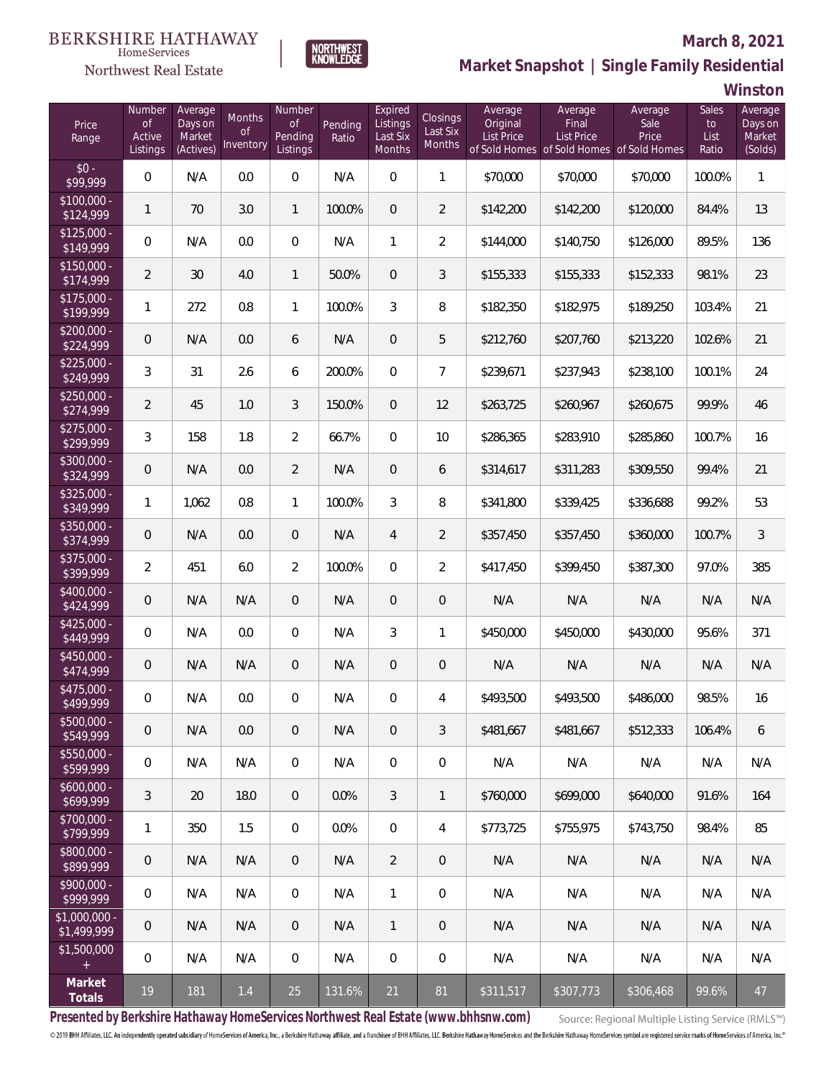#### BERKSHIRE HATHAWAY HomeServices



#### **March 8, 2021**

**Market Snapshot | Single Family Residential**

**Winston**

| Price<br>Range                | Number<br><b>of</b><br>Active<br>Listings | Average<br>Days on<br>Market<br>(Actives) | Months<br>0f<br>Inventory | Number<br>Οf<br>Pending<br>Listings | Pending<br>Ratio | Expired<br>Listings<br>Last Six<br>Months | Closings<br>Last Six<br><b>Months</b> | Average<br>Original<br><b>List Price</b> | Average<br>Final<br><b>List Price</b> | Average<br>Sale<br>Price<br>of Sold Homes of Sold Homes of Sold Homes | Sales<br>to<br>List<br>Ratio | Average<br>Days on<br>Market<br>(Solds) |
|-------------------------------|-------------------------------------------|-------------------------------------------|---------------------------|-------------------------------------|------------------|-------------------------------------------|---------------------------------------|------------------------------------------|---------------------------------------|-----------------------------------------------------------------------|------------------------------|-----------------------------------------|
| $$0 -$<br>\$99,999            | 0                                         | N/A                                       | 0.0                       | $\mathbf 0$                         | N/A              | $\overline{0}$                            | 1                                     | \$70,000                                 | \$70,000                              | \$70,000                                                              | 100.0%                       | $\mathbf{1}$                            |
| $$100,000 -$<br>\$124,999     | 1                                         | 70                                        | 3.0                       | $\mathbf{1}$                        | 100.0%           | $\overline{0}$                            | $\overline{2}$                        | \$142,200                                | \$142,200                             | \$120,000                                                             | 84.4%                        | 13                                      |
| $$125,000 -$<br>\$149,999     | 0                                         | N/A                                       | 0.0                       | $\overline{0}$                      | N/A              | $\mathbf{1}$                              | $\overline{2}$                        | \$144,000                                | \$140,750                             | \$126,000                                                             | 89.5%                        | 136                                     |
| $$150,000 -$<br>\$174,999     | $\overline{2}$                            | 30                                        | 4.0                       | $\mathbf{1}$                        | 50.0%            | $\overline{0}$                            | 3                                     | \$155,333                                | \$155,333                             | \$152,333                                                             | 98.1%                        | 23                                      |
| $$175,000 -$<br>\$199,999     | 1                                         | 272                                       | 0.8                       | $\mathbf{1}$                        | 100.0%           | 3                                         | 8                                     | \$182,350                                | \$182,975                             | \$189,250                                                             | 103.4%                       | 21                                      |
| $$200,000 -$<br>\$224,999     | 0                                         | N/A                                       | 0.0                       | 6                                   | N/A              | $\mathbf{0}$                              | 5                                     | \$212,760                                | \$207,760                             | \$213,220                                                             | 102.6%                       | 21                                      |
| $$225,000 -$<br>\$249,999     | 3                                         | 31                                        | 2.6                       | 6                                   | 200.0%           | $\mathbf{0}$                              | $\overline{7}$                        | \$239,671                                | \$237,943                             | \$238,100                                                             | 100.1%                       | 24                                      |
| $$250,000 -$<br>\$274,999     | $\overline{2}$                            | 45                                        | 1.0                       | 3                                   | 150.0%           | $\overline{0}$                            | 12                                    | \$263,725                                | \$260,967                             | \$260,675                                                             | 99.9%                        | 46                                      |
| $$275,000 -$<br>\$299,999     | 3                                         | 158                                       | 1.8                       | $\overline{2}$                      | 66.7%            | $\mathbf{0}$                              | 10                                    | \$286,365                                | \$283,910                             | \$285,860                                                             | 100.7%                       | 16                                      |
| $$300.000 -$<br>\$324,999     | 0                                         | N/A                                       | 0.0                       | $\overline{2}$                      | N/A              | $\overline{0}$                            | 6                                     | \$314,617                                | \$311,283                             | \$309,550                                                             | 99.4%                        | 21                                      |
| $$325,000 -$<br>\$349,999     | 1                                         | 1,062                                     | 0.8                       | $\mathbf{1}$                        | 100.0%           | 3                                         | $\, 8$                                | \$341,800                                | \$339,425                             | \$336,688                                                             | 99.2%                        | 53                                      |
| $$350.000 -$<br>\$374,999     | 0                                         | N/A                                       | 0.0                       | $\theta$                            | N/A              | 4                                         | $\overline{2}$                        | \$357,450                                | \$357,450                             | \$360,000                                                             | 100.7%                       | $\sqrt{3}$                              |
| $$375,000 -$<br>\$399,999     | 2                                         | 451                                       | 6.0                       | $\overline{2}$                      | 100.0%           | $\mathbf{0}$                              | $\overline{2}$                        | \$417,450                                | \$399,450                             | \$387,300                                                             | 97.0%                        | 385                                     |
| $$400.000 -$<br>\$424,999     | 0                                         | N/A                                       | N/A                       | $\theta$                            | N/A              | $\overline{0}$                            | $\theta$                              | N/A                                      | N/A                                   | N/A                                                                   | N/A                          | N/A                                     |
| $$425.000 -$<br>\$449,999     | 0                                         | N/A                                       | 0.0                       | 0                                   | N/A              | 3                                         | $\mathbf{1}$                          | \$450,000                                | \$450,000                             | \$430,000                                                             | 95.6%                        | 371                                     |
| $$450.000 -$<br>\$474,999     | 0                                         | N/A                                       | N/A                       | $\theta$                            | N/A              | $\overline{0}$                            | $\mathbf 0$                           | N/A                                      | N/A                                   | N/A                                                                   | N/A                          | N/A                                     |
| \$475,000 -<br>\$499,999      | 0                                         | N/A                                       | $0.0\,$                   | 0                                   | N/A              | 0                                         | 4                                     | \$493,500                                | \$493,500                             | \$486,000                                                             | 98.5%                        | 16                                      |
| $$500,000 -$<br>\$549,999     | 0                                         | N/A                                       | 0.0                       | $\overline{0}$                      | N/A              | $\overline{0}$                            | $\mathfrak{Z}$                        | \$481,667                                | \$481.667                             | \$512,333                                                             | 106.4%                       | 6                                       |
| $$550.000 -$<br>\$599,999     | 0                                         | N/A                                       | N/A                       | $\overline{0}$                      | N/A              | $\overline{0}$                            | $\mathbf 0$                           | N/A                                      | N/A                                   | N/A                                                                   | N/A                          | N/A                                     |
| $$600,000 -$<br>\$699,999     | 3                                         | 20                                        | 18.0                      | $\overline{0}$                      | $0.0\%$          | 3                                         | $\mathbf{1}$                          | \$760,000                                | \$699,000                             | \$640,000                                                             | 91.6%                        | 164                                     |
| $$700,000 -$<br>\$799,999     | 1                                         | 350                                       | 1.5                       | $\mathbf 0$                         | 0.0%             | $\overline{0}$                            | 4                                     | \$773,725                                | \$755,975                             | \$743,750                                                             | 98.4%                        | 85                                      |
| \$800,000 -<br>\$899,999      | 0                                         | N/A                                       | N/A                       | $\overline{0}$                      | N/A              | $\overline{2}$                            | $\overline{0}$                        | N/A                                      | N/A                                   | N/A                                                                   | N/A                          | N/A                                     |
| $$900.000 -$<br>\$999,999     | 0                                         | N/A                                       | N/A                       | $\mathbf 0$                         | N/A              | $\mathbf{1}$                              | $\mathbf 0$                           | N/A                                      | N/A                                   | N/A                                                                   | N/A                          | N/A                                     |
| $$1,000,000$ -<br>\$1,499,999 | 0                                         | N/A                                       | N/A                       | $\overline{0}$                      | N/A              | $\mathbf{1}$                              | $\overline{0}$                        | N/A                                      | N/A                                   | N/A                                                                   | N/A                          | N/A                                     |
| \$1,500,000<br>$+$            | 0                                         | N/A                                       | N/A                       | $\mathbf 0$                         | N/A              | $\overline{0}$                            | $\mathbf 0$                           | N/A                                      | N/A                                   | N/A                                                                   | N/A                          | N/A                                     |
| Market<br>Totals              | 19                                        | 181                                       | $1.4$                     | 25                                  | 131.6%           | 21                                        | 81                                    | \$311,517                                | \$307,773                             | \$306,468                                                             | 99.6%                        | 47                                      |

**NORTHWEST**<br>KNOWLEDGE

**Presented by Berkshire Hathaway HomeServices Northwest Real Estate (www.bhhsnw.com)**

Source: Regional Multiple Listing Service (RMLS™)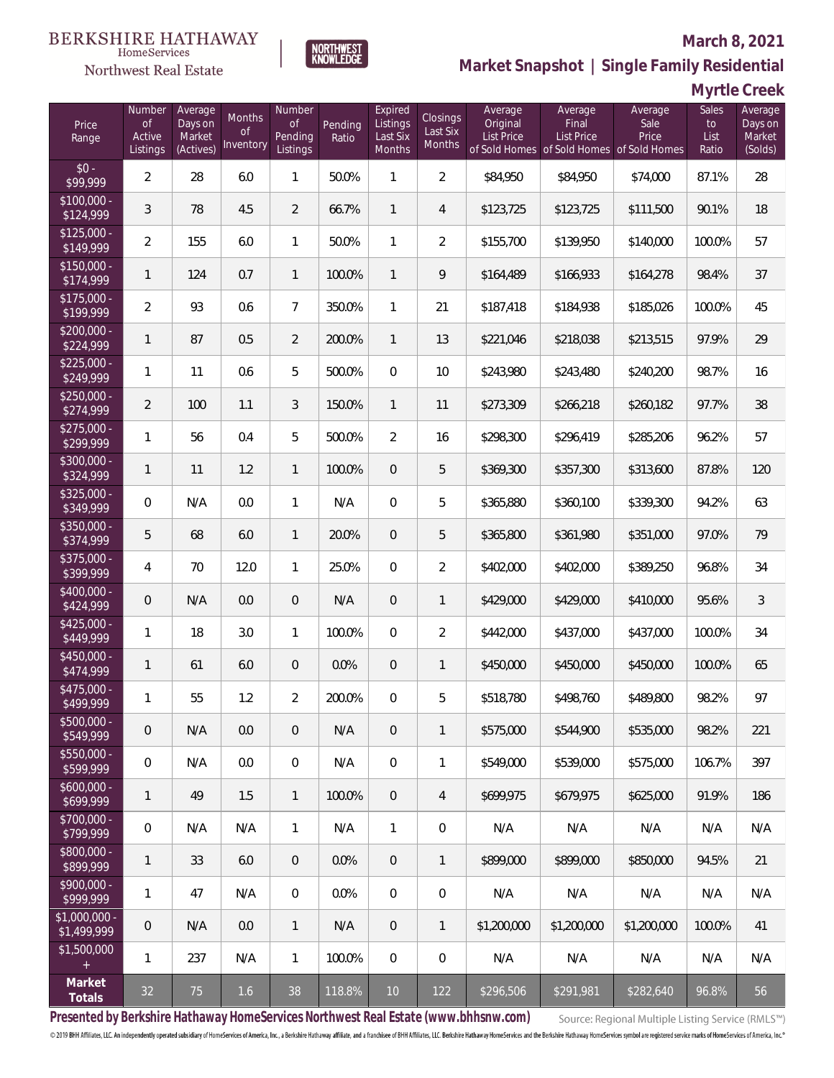#### **BERKSHIRE HATHAWAY** HomeServices

## Northwest Real Estate



**Market Snapshot | Single Family Residential**

| Myrtle Creek |  |  |  |  |
|--------------|--|--|--|--|
|--------------|--|--|--|--|

| Price<br>Range                | Number<br><b>of</b><br>Active<br>Listings | Average<br>Days on<br>Market<br>(Actives) | Months<br><b>of</b><br>Inventory | Number<br><b>of</b><br>Pending<br>Listings | Pending<br>Ratio | Expired<br>Listings<br>Last Six<br>Months | <b>Closings</b><br>Last Six<br>Months | Average<br>Original<br>List Price | Average<br>Final<br><b>List Price</b><br>of Sold Homes of Sold Homes of Sold Homes | Average<br>Sale<br>Price | Sales<br>to<br>List<br>Ratio | Average<br>Days on<br>Market<br>(Solds) |
|-------------------------------|-------------------------------------------|-------------------------------------------|----------------------------------|--------------------------------------------|------------------|-------------------------------------------|---------------------------------------|-----------------------------------|------------------------------------------------------------------------------------|--------------------------|------------------------------|-----------------------------------------|
| $$0 -$<br>\$99,999            | $\overline{2}$                            | 28                                        | 6.0                              | $\mathbf{1}$                               | 50.0%            | 1                                         | $\overline{2}$                        | \$84,950                          | \$84,950                                                                           | \$74,000                 | 87.1%                        | 28                                      |
| $$100,000 -$<br>\$124,999     | 3                                         | 78                                        | 4.5                              | $\overline{2}$                             | 66.7%            | $\mathbf{1}$                              | $\overline{4}$                        | \$123,725                         | \$123,725                                                                          | \$111,500                | 90.1%                        | 18                                      |
| $$125,000 -$<br>\$149,999     | $\overline{2}$                            | 155                                       | 6.0                              | $\mathbf{1}$                               | 50.0%            | $\mathbf{1}$                              | $\overline{2}$                        | \$155,700                         | \$139,950                                                                          | \$140,000                | 100.0%                       | 57                                      |
| $$150,000 -$<br>\$174,999     | 1                                         | 124                                       | 0.7                              | $\mathbf{1}$                               | 100.0%           | $\mathbf{1}$                              | 9                                     | \$164,489                         | \$166,933                                                                          | \$164,278                | 98.4%                        | 37                                      |
| $$175,000 -$<br>\$199,999     | $\overline{2}$                            | 93                                        | 0.6                              | $\overline{7}$                             | 350.0%           | $\mathbf{1}$                              | 21                                    | \$187,418                         | \$184,938                                                                          | \$185,026                | 100.0%                       | 45                                      |
| $$200,000 -$<br>\$224,999     | 1                                         | 87                                        | 0.5                              | $\overline{2}$                             | 200.0%           | $\mathbf{1}$                              | 13                                    | \$221,046                         | \$218,038                                                                          | \$213,515                | 97.9%                        | 29                                      |
| $$225,000 -$<br>\$249,999     | 1                                         | 11                                        | 0.6                              | 5                                          | 500.0%           | $\overline{0}$                            | 10                                    | \$243,980                         | \$243,480                                                                          | \$240,200                | 98.7%                        | 16                                      |
| $$250,000 -$<br>\$274,999     | $\overline{2}$                            | 100                                       | 1.1                              | 3                                          | 150.0%           | $\mathbf{1}$                              | 11                                    | \$273,309                         | \$266,218                                                                          | \$260,182                | 97.7%                        | 38                                      |
| $$275,000 -$<br>\$299,999     | 1                                         | 56                                        | 0.4                              | 5                                          | 500.0%           | 2                                         | 16                                    | \$298,300                         | \$296,419                                                                          | \$285,206                | 96.2%                        | 57                                      |
| $$300,000 -$<br>\$324,999     | 1                                         | 11                                        | 1.2                              | $\mathbf{1}$                               | 100.0%           | $\overline{0}$                            | 5                                     | \$369,300                         | \$357,300                                                                          | \$313,600                | 87.8%                        | 120                                     |
| $$325,000 -$<br>\$349,999     | 0                                         | N/A                                       | 0.0                              | $\mathbf{1}$                               | N/A              | $\overline{0}$                            | 5                                     | \$365,880                         | \$360,100                                                                          | \$339,300                | 94.2%                        | 63                                      |
| $$350,000 -$<br>\$374,999     | 5                                         | 68                                        | 6.0                              | $\mathbf{1}$                               | 20.0%            | $\overline{0}$                            | 5                                     | \$365,800                         | \$361,980                                                                          | \$351,000                | 97.0%                        | 79                                      |
| $$375,000 -$<br>\$399,999     | 4                                         | 70                                        | 12.0                             | $\mathbf{1}$                               | 25.0%            | $\overline{0}$                            | $\overline{2}$                        | \$402,000                         | \$402,000                                                                          | \$389,250                | 96.8%                        | 34                                      |
| \$400,000 -<br>\$424,999      | $\mathbf 0$                               | N/A                                       | 0.0                              | $\overline{0}$                             | N/A              | $\overline{0}$                            | $\mathbf{1}$                          | \$429,000                         | \$429,000                                                                          | \$410,000                | 95.6%                        | $\mathfrak{Z}$                          |
| $$425,000 -$<br>\$449,999     | 1                                         | 18                                        | 3.0                              | $\mathbf{1}$                               | 100.0%           | $\overline{0}$                            | $\overline{2}$                        | \$442,000                         | \$437,000                                                                          | \$437,000                | 100.0%                       | 34                                      |
| $$450,000 -$<br>\$474,999     | 1                                         | 61                                        | 6.0                              | $\overline{0}$                             | 0.0%             | $\overline{0}$                            | $\mathbf{1}$                          | \$450,000                         | \$450,000                                                                          | \$450,000                | 100.0%                       | 65                                      |
| $$475,000 -$<br>\$499,999     | 1                                         | 55                                        | 1.2                              | $\overline{2}$                             | 200.0%           | $\mathbf{0}$                              | 5                                     | \$518,780                         | \$498,760                                                                          | \$489,800                | 98.2%                        | 97                                      |
| $$500,000 -$<br>\$549,999     | $\mathbf 0$                               | N/A                                       | 0.0                              | $\theta$                                   | N/A              | $\theta$                                  | $\mathbf{1}$                          | \$575,000                         | \$544.900                                                                          | \$535,000                | 98.2%                        | 221                                     |
| $$550,000 -$<br>\$599,999     | 0                                         | N/A                                       | 0.0                              | $\mathbf 0$                                | N/A              | $\mathbf 0$                               | 1                                     | \$549.000                         | \$539,000                                                                          | \$575,000                | 106.7%                       | 397                                     |
| $$600,000 -$<br>\$699,999     | 1                                         | 49                                        | 1.5                              | $\mathbf{1}$                               | 100.0%           | $\theta$                                  | $\overline{4}$                        | \$699,975                         | \$679,975                                                                          | \$625,000                | 91.9%                        | 186                                     |
| \$700,000 -<br>\$799,999      | 0                                         | N/A                                       | N/A                              | $\mathbf{1}$                               | N/A              | $\mathbf{1}$                              | 0                                     | N/A                               | N/A                                                                                | N/A                      | N/A                          | N/A                                     |
| \$800,000 -<br>\$899,999      | 1                                         | 33                                        | 6.0                              | $\overline{0}$                             | 0.0%             | $\overline{0}$                            | $\mathbf{1}$                          | \$899,000                         | \$899,000                                                                          | \$850,000                | 94.5%                        | 21                                      |
| \$900,000 -<br>\$999,999      | 1                                         | 47                                        | N/A                              | $\mathbf 0$                                | 0.0%             | $\mathbf 0$                               | $\mathbf 0$                           | N/A                               | N/A                                                                                | N/A                      | N/A                          | N/A                                     |
| $$1,000,000 -$<br>\$1,499,999 | $\mathbf 0$                               | N/A                                       | 0.0                              | $\mathbf{1}$                               | N/A              | $\theta$                                  | $\mathbf{1}$                          | \$1,200,000                       | \$1,200,000                                                                        | \$1,200,000              | 100.0%                       | 41                                      |
| \$1,500,000<br>$+$            | 1                                         | 237                                       | N/A                              | $\mathbf{1}$                               | 100.0%           | $\mathbf 0$                               | $\mathbf 0$                           | N/A                               | N/A                                                                                | N/A                      | N/A                          | N/A                                     |
| Market<br>Totals              | 32                                        | 75                                        | 1.6                              | 38                                         | 118.8%           | $10$                                      | 122                                   | \$296,506                         | \$291,981                                                                          | \$282,640                | 96.8%                        | 56                                      |

**NORTHWEST**<br>KNOWLEDGE

**Presented by Berkshire Hathaway HomeServices Northwest Real Estate (www.bhhsnw.com)**

Source: Regional Multiple Listing Service (RMLS™)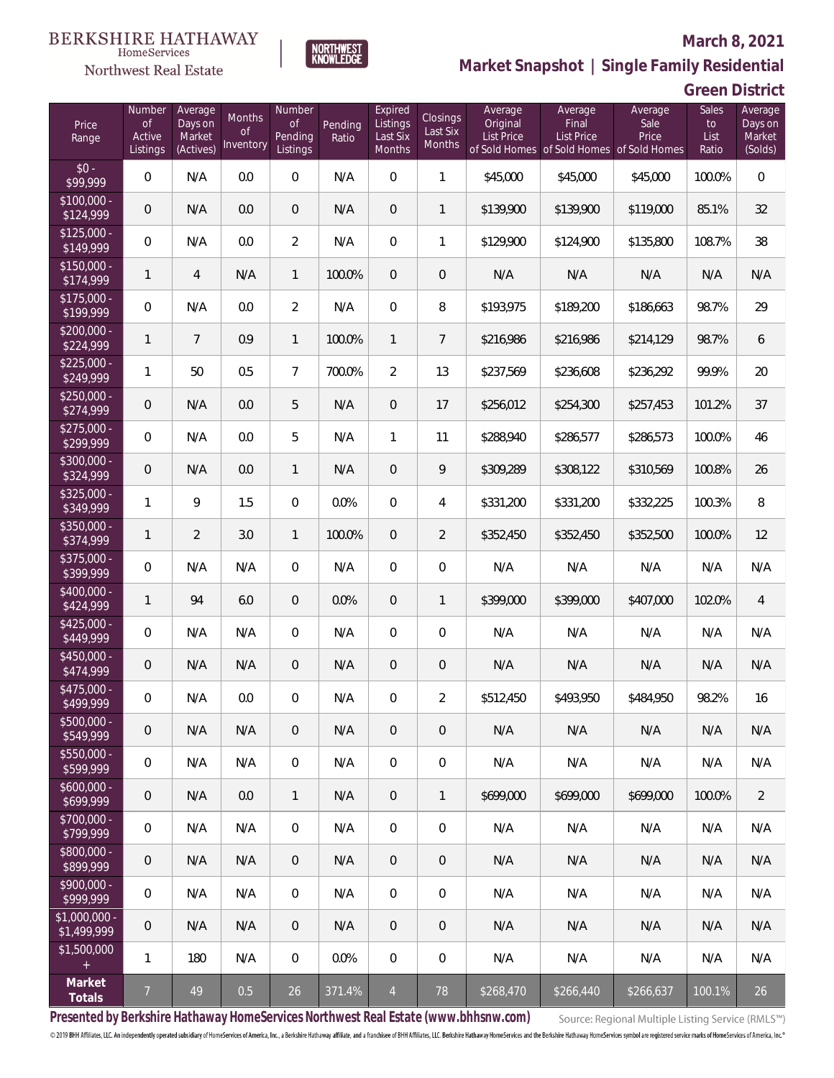

NORTHWEST<br>KNOWLEDGE

Northwest Real Estate

**Market Snapshot | Single Family Residential**

# **Green District**

| Price<br>Range                    | Number<br><b>of</b><br>Active<br>Listings | Average<br>Days on<br>Market<br>(Actives) | <b>Months</b><br>Οf<br>Inventory | Number<br><b>of</b><br>Pending<br>Listings | Pending<br>Ratio | Expired<br>Listings<br>Last Six<br>Months | <b>Closings</b><br>Last Six<br>Months | Average<br>Original<br><b>List Price</b> | Average<br>Final<br><b>List Price</b><br>of Sold Homes of Sold Homes of Sold Homes | Average<br>Sale<br>Price | Sales<br>to<br>List<br>Ratio | Average<br>Days on<br>Market<br>(Solds) |
|-----------------------------------|-------------------------------------------|-------------------------------------------|----------------------------------|--------------------------------------------|------------------|-------------------------------------------|---------------------------------------|------------------------------------------|------------------------------------------------------------------------------------|--------------------------|------------------------------|-----------------------------------------|
| $$0 -$<br>\$99,999                | 0                                         | N/A                                       | 0.0                              | 0                                          | N/A              | $\overline{0}$                            | $\mathbf{1}$                          | \$45,000                                 | \$45,000                                                                           | \$45,000                 | 100.0%                       | $\overline{0}$                          |
| $$100,000 -$<br>$\sqrt{$124,999}$ | 0                                         | N/A                                       | 0.0                              | $\overline{0}$                             | N/A              | $\overline{0}$                            | $\mathbf{1}$                          | \$139,900                                | \$139,900                                                                          | \$119,000                | 85.1%                        | 32                                      |
| $$125,000 -$<br>\$149,999         | $\boldsymbol{0}$                          | N/A                                       | 0.0                              | $\overline{2}$                             | N/A              | $\overline{0}$                            | $\mathbf{1}$                          | \$129,900                                | \$124,900                                                                          | \$135,800                | 108.7%                       | 38                                      |
| $$150,000 -$<br>\$174,999         | $\mathbf{1}$                              | $\overline{4}$                            | N/A                              | $\mathbf{1}$                               | 100.0%           | $\overline{0}$                            | $\mathbf 0$                           | N/A                                      | N/A                                                                                | N/A                      | N/A                          | N/A                                     |
| $$175,000 -$<br>\$199,999         | $\boldsymbol{0}$                          | N/A                                       | 0.0                              | $\overline{a}$                             | N/A              | $\overline{0}$                            | 8                                     | \$193,975                                | \$189,200                                                                          | \$186,663                | 98.7%                        | 29                                      |
| $$200,000 -$<br>\$224,999         | $\mathbf{1}$                              | $\overline{7}$                            | 0.9                              | $\mathbf{1}$                               | 100.0%           | $\mathbf{1}$                              | $7\overline{ }$                       | \$216,986                                | \$216,986                                                                          | \$214,129                | 98.7%                        | 6                                       |
| $$225,000 -$<br>\$249,999         | 1                                         | 50                                        | 0.5                              | $\overline{7}$                             | 700.0%           | $\overline{2}$                            | 13                                    | \$237,569                                | \$236,608                                                                          | \$236,292                | 99.9%                        | 20                                      |
| $$250,000 -$<br>\$274,999         | 0                                         | N/A                                       | 0.0                              | 5                                          | N/A              | $\overline{0}$                            | 17                                    | \$256,012                                | \$254,300                                                                          | \$257,453                | 101.2%                       | 37                                      |
| $$275,000 -$<br>\$299,999         | $\boldsymbol{0}$                          | N/A                                       | 0.0                              | 5                                          | N/A              | $\mathbf{1}$                              | 11                                    | \$288,940                                | \$286,577                                                                          | \$286,573                | 100.0%                       | 46                                      |
| $$300,000 -$<br>\$324,999         | 0                                         | N/A                                       | 0.0                              | $\mathbf{1}$                               | N/A              | $\overline{0}$                            | 9                                     | \$309,289                                | \$308,122                                                                          | \$310,569                | 100.8%                       | 26                                      |
| $$325,000 -$<br>\$349,999         | $\mathbf{1}$                              | 9                                         | 1.5                              | $\overline{0}$                             | 0.0%             | $\overline{0}$                            | 4                                     | \$331,200                                | \$331,200                                                                          | \$332,225                | 100.3%                       | 8                                       |
| $$350,000 -$<br>\$374,999         | $\mathbf{1}$                              | $\overline{2}$                            | 3.0                              | $\mathbf{1}$                               | 100.0%           | $\overline{0}$                            | $\overline{2}$                        | \$352,450                                | \$352,450                                                                          | \$352,500                | 100.0%                       | 12                                      |
| $$375,000 -$<br>\$399,999         | $\boldsymbol{0}$                          | N/A                                       | N/A                              | 0                                          | N/A              | $\overline{0}$                            | $\boldsymbol{0}$                      | N/A                                      | N/A                                                                                | N/A                      | N/A                          | N/A                                     |
| \$400,000 -<br>\$424,999          | $\mathbf{1}$                              | 94                                        | 6.0                              | 0                                          | 0.0%             | $\overline{0}$                            | $\mathbf{1}$                          | \$399,000                                | \$399,000                                                                          | \$407,000                | 102.0%                       | $\overline{4}$                          |
| \$425,000 -<br>\$449,999          | 0                                         | N/A                                       | N/A                              | 0                                          | N/A              | $\overline{0}$                            | $\boldsymbol{0}$                      | N/A                                      | N/A                                                                                | N/A                      | N/A                          | N/A                                     |
| \$450,000 -<br>\$474,999          | 0                                         | N/A                                       | N/A                              | 0                                          | N/A              | $\overline{0}$                            | $\mathbf 0$                           | N/A                                      | N/A                                                                                | N/A                      | N/A                          | N/A                                     |
| \$475,000 -<br>\$499,999          | $\boldsymbol{0}$                          | N/A                                       | 0.0                              | 0                                          | N/A              | 0                                         | $\overline{2}$                        | \$512,450                                | \$493,950                                                                          | \$484,950                | 98.2%                        | 16                                      |
| $$500,000 -$<br>\$549,999         | $\mathbf 0$                               | N/A                                       | N/A                              | 0                                          | N/A              | 0                                         | 0                                     | N/A                                      | N/A                                                                                | N/A                      | N/A                          | N/A                                     |
| $$550,000 -$<br>\$599,999         | 0                                         | N/A                                       | N/A                              | $\overline{0}$                             | N/A              | $\mathbf 0$                               | $\boldsymbol{0}$                      | N/A                                      | N/A                                                                                | N/A                      | N/A                          | N/A                                     |
| $$600,000 -$<br>\$699,999         | $\mathsf{O}\xspace$                       | N/A                                       | 0.0                              | $\mathbf{1}$                               | N/A              | $\overline{0}$                            | $\mathbf{1}$                          | \$699,000                                | \$699,000                                                                          | \$699,000                | 100.0%                       | $\overline{2}$                          |
| \$700,000 -<br>\$799,999          | 0                                         | N/A                                       | N/A                              | $\overline{0}$                             | N/A              | $\mathbf 0$                               | $\overline{0}$                        | N/A                                      | N/A                                                                                | N/A                      | N/A                          | N/A                                     |
| \$800,000 -<br>\$899,999          | $\mathsf{O}\xspace$                       | N/A                                       | N/A                              | $\overline{0}$                             | N/A              | $\overline{0}$                            | $\overline{0}$                        | N/A                                      | N/A                                                                                | N/A                      | N/A                          | N/A                                     |
| \$900,000 -<br>\$999,999          | 0                                         | N/A                                       | N/A                              | $\overline{0}$                             | N/A              | $\mathbf 0$                               | $\boldsymbol{0}$                      | N/A                                      | N/A                                                                                | N/A                      | N/A                          | N/A                                     |
| $$1,000,000$ -<br>\$1,499,999     | $\mathbf 0$                               | N/A                                       | N/A                              | $\overline{0}$                             | N/A              | $\overline{0}$                            | 0                                     | N/A                                      | N/A                                                                                | N/A                      | N/A                          | N/A                                     |
| \$1,500,000<br>$+$                | 1                                         | 180                                       | N/A                              | $\overline{0}$                             | 0.0%             | $\mathbf 0$                               | 0                                     | N/A                                      | N/A                                                                                | N/A                      | N/A                          | N/A                                     |
| Market<br>Totals                  | $\overline{7}$                            | 49                                        | 0.5                              | 26                                         | 371.4%           | $\overline{4}$                            | 78                                    | \$268,470                                | \$266,440                                                                          | \$266,637                | 100.1%                       | 26                                      |

**Presented by Berkshire Hathaway HomeServices Northwest Real Estate (www.bhhsnw.com)**

Source: Regional Multiple Listing Service (RMLS™)